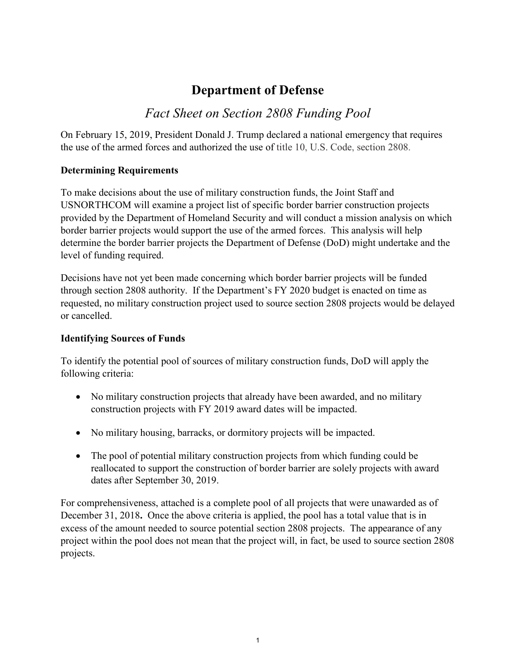# **Department of Defense**

## *Fact Sheet on Section 2808 Funding Pool*

On February 15, 2019, President Donald J. Trump declared a national emergency that requires the use of the armed forces and authorized the use of title 10, U.S. Code, section 2808.

#### **Determining Requirements**

To make decisions about the use of military construction funds, the Joint Staff and USNORTHCOM will examine a project list of specific border barrier construction projects provided by the Department of Homeland Security and will conduct a mission analysis on which border barrier projects would support the use of the armed forces. This analysis will help determine the border barrier projects the Department of Defense (DoD) might undertake and the level of funding required.

Decisions have not yet been made concerning which border barrier projects will be funded through section 2808 authority. If the Department's FY 2020 budget is enacted on time as requested, no military construction project used to source section 2808 projects would be delayed or cancelled.

#### **Identifying Sources of Funds**

To identify the potential pool of sources of military construction funds, DoD will apply the following criteria:

- No military construction projects that already have been awarded, and no military construction projects with FY 2019 award dates will be impacted.
- No military housing, barracks, or dormitory projects will be impacted.
- The pool of potential military construction projects from which funding could be reallocated to support the construction of border barrier are solely projects with award dates after September 30, 2019.

For comprehensiveness, attached is a complete pool of all projects that were unawarded as of December 31, 2018**.** Once the above criteria is applied, the pool has a total value that is in excess of the amount needed to source potential section 2808 projects. The appearance of any project within the pool does not mean that the project will, in fact, be used to source section 2808 projects.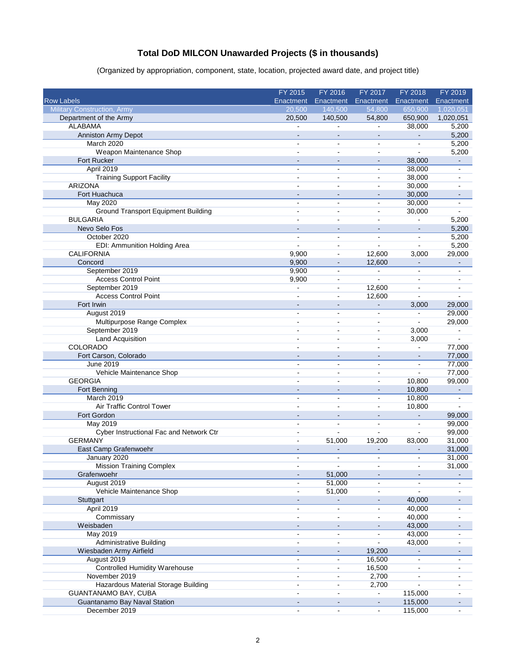### **Total DoD MILCON Unawarded Projects (\$ in thousands)**

(Organized by appropriation, component, state, location, projected award date, and project title)

|                                            | FY 2015                  | FY 2016                  | FY 2017                      | FY 2018        | FY 2019        |
|--------------------------------------------|--------------------------|--------------------------|------------------------------|----------------|----------------|
| <b>Row Labels</b>                          | Enactment                | Enactment                | Enactment                    | Enactment      | Enactment      |
| <b>Military Construction, Army</b>         | 20,500                   | 140,500                  | 54,800                       | 650.900        | 1,020,051      |
| Department of the Army                     | 20,500                   | 140,500                  | 54,800                       | 650,900        | 1,020,051      |
| <b>ALABAMA</b>                             | ÷                        | $\overline{a}$           | ÷.                           | 38,000         | 5,200          |
| Anniston Army Depot                        | $\blacksquare$           | $\sim$                   | $\blacksquare$               |                | 5,200          |
| March 2020                                 | $\blacksquare$           | $\blacksquare$           | $\blacksquare$               | $\overline{a}$ | 5,200          |
| Weapon Maintenance Shop                    | $\blacksquare$           | $\sim$                   | $\blacksquare$               | $\blacksquare$ | 5,200          |
| Fort Rucker                                |                          | $\overline{a}$           | $\sim$                       | 38,000         | ä,             |
| April 2019                                 | $\sim$                   | $\blacksquare$           | $\blacksquare$               | 38,000         | $\sim$         |
| <b>Training Support Facility</b>           | $\overline{a}$           | ä,                       | $\overline{a}$               | 38,000         |                |
| <b>ARIZONA</b>                             | $\sim$                   | ä,                       | $\overline{\phantom{a}}$     | 30,000         |                |
| Fort Huachuca                              | $\sim$                   | $\sim$                   | $\blacksquare$               | 30,000         | $\sim$         |
| May 2020                                   | $\blacksquare$           | ä,                       | $\overline{a}$               | 30,000         | $\blacksquare$ |
| <b>Ground Transport Equipment Building</b> | $\overline{a}$           | $\blacksquare$           | $\overline{a}$               | 30,000         |                |
| <b>BULGARIA</b>                            | $\mathbf{r}$             | $\sim$                   | ä,                           | ä,             | 5,200          |
| Nevo Selo Fos                              |                          |                          |                              |                | 5,200          |
| October 2020                               | $\blacksquare$           | ä,                       | $\blacksquare$               | $\overline{a}$ | 5,200          |
| EDI: Ammunition Holding Area               | $\blacksquare$           | ä,                       | L.                           | $\overline{a}$ | 5,200          |
| <b>CALIFORNIA</b>                          | 9,900                    | $\blacksquare$           | 12,600                       | 3,000          | 29,000         |
| Concord                                    | 9,900                    |                          | 12,600                       |                |                |
| September 2019                             | 9,900                    | ä,                       | ÷.                           |                |                |
| <b>Access Control Point</b>                | 9,900                    | $\blacksquare$           | ÷,                           | $\blacksquare$ |                |
| September 2019                             | $\sim$                   | $\blacksquare$           | 12,600                       | $\overline{a}$ | ä,             |
| <b>Access Control Point</b>                |                          | ä,                       | 12,600                       |                |                |
| Fort Irwin                                 | $\overline{a}$           | $\overline{\phantom{a}}$ | $\qquad \qquad \blacksquare$ | 3,000          | 29,000         |
| August 2019                                | $\blacksquare$           | $\blacksquare$           | $\blacksquare$               | $\blacksquare$ | 29,000         |
| Multipurpose Range Complex                 | $\overline{a}$           | $\blacksquare$           | $\blacksquare$               | ÷.             | 29,000         |
| September 2019                             |                          | $\sim$                   | $\blacksquare$               | 3,000          | $\blacksquare$ |
| <b>Land Acquisition</b>                    |                          | $\overline{\phantom{0}}$ | ۰                            | 3,000          | $\blacksquare$ |
| COLORADO                                   |                          | $\overline{a}$           | $\sim$                       | $\overline{a}$ | 77,000         |
| Fort Carson, Colorado                      | $\blacksquare$           | $\blacksquare$           | $\sim$                       | $\blacksquare$ | 77,000         |
| June 2019                                  | $\overline{a}$           | ä,                       | ۰                            | $\blacksquare$ | 77,000         |
| Vehicle Maintenance Shop                   | $\overline{a}$           | ۰                        | $\overline{a}$               |                | 77,000         |
| <b>GEORGIA</b>                             | $\overline{a}$           | ä,                       | ÷,                           | 10,800         | 99,000         |
| Fort Benning                               |                          | $\overline{a}$           | ÷,                           | 10,800         |                |
| March 2019                                 | $\blacksquare$           | ä,                       | $\blacksquare$               | 10,800         |                |
| Air Traffic Control Tower                  | ä,                       | ä,                       | $\blacksquare$               | 10,800         | ÷.             |
| Fort Gordon                                |                          | $\overline{\phantom{a}}$ | $\overline{\phantom{a}}$     |                | 99,000         |
| May 2019                                   |                          | L                        | ä,                           | ä,             | 99,000         |
| Cyber Instructional Fac and Network Ctr    | ä,                       | ä,                       | $\overline{a}$               | ä,             | 99,000         |
| <b>GERMANY</b>                             | $\overline{a}$           | 51,000                   | 19,200                       | 83,000         | 31,000         |
| East Camp Grafenwoehr                      |                          |                          |                              |                | 31,000         |
| January 2020                               | $\blacksquare$           | $\overline{\phantom{a}}$ | L,                           | ä,             | 31,000         |
|                                            |                          |                          |                              |                |                |
| <b>Mission Training Complex</b>            |                          |                          |                              | $\blacksquare$ | 31,000         |
| Grafenwoehr                                |                          | 51,000                   |                              |                |                |
| August 2019                                |                          | 51,000                   |                              |                |                |
| Vehicle Maintenance Shop                   | $\blacksquare$           | 51,000                   | $\blacksquare$               |                |                |
| Stuttgart                                  | $\blacksquare$           |                          |                              | 40,000         |                |
| April 2019                                 | $\overline{\phantom{0}}$ | ä,                       |                              | 40,000         |                |
| Commissary                                 | $\blacksquare$           | ÷,                       | $\blacksquare$               | 40,000         |                |
| Weisbaden                                  |                          | $\frac{1}{2}$            | $\blacksquare$               | 43,000         |                |
| <b>May 2019</b>                            |                          | ä,                       | $\blacksquare$               | 43,000         |                |
| <b>Administrative Building</b>             | $\overline{a}$           | ä,                       | $\overline{a}$               | 43,000         |                |
| Wiesbaden Army Airfield                    |                          | ÷,                       | 19,200                       |                |                |
| August 2019                                | ä,                       | ä,                       | 16,500                       |                |                |
| <b>Controlled Humidity Warehouse</b>       | $\sim$                   | $\blacksquare$           | 16,500                       | $\overline{a}$ |                |
| November 2019                              | $\blacksquare$           | ÷                        | 2,700                        |                |                |
| Hazardous Material Storage Building        | $\blacksquare$           | $\blacksquare$           | 2,700                        |                |                |
| GUANTANAMO BAY, CUBA                       | $\blacksquare$           | ä,                       | $\blacksquare$               | 115,000        |                |
| Guantanamo Bay Naval Station               |                          | $\blacksquare$           | $\blacksquare$               | 115,000        |                |
| December 2019                              |                          |                          |                              | 115,000        |                |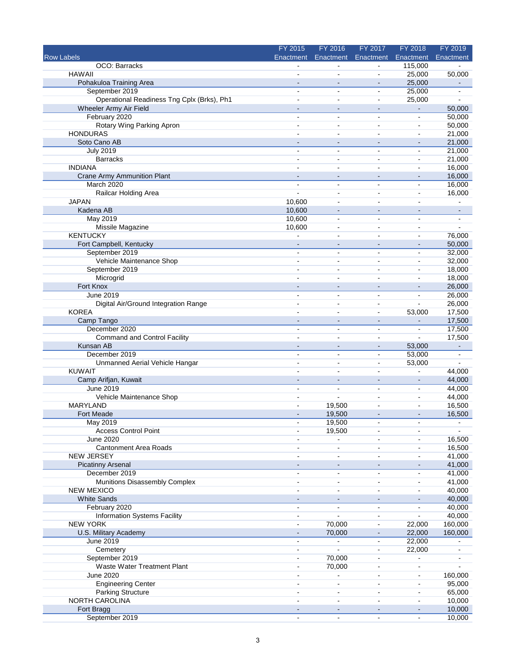|                                            | FY 2015                  | FY 2016                      | FY 2017                      | FY 2018                  | FY 2019        |
|--------------------------------------------|--------------------------|------------------------------|------------------------------|--------------------------|----------------|
| <b>Row Labels</b>                          | Enactment                | Enactment                    | Enactment                    | Enactment                | Enactment      |
| OCO: Barracks                              |                          |                              |                              | 115,000                  |                |
| <b>HAWAII</b>                              |                          | $\blacksquare$               | $\blacksquare$               | 25,000                   | 50,000         |
| Pohakuloa Training Area                    | $\sim$                   | $\sim$                       | $\sim$                       | 25,000                   | $\blacksquare$ |
| September 2019                             | $\sim$                   | $\sim$                       | $\blacksquare$               | 25,000                   | $\blacksquare$ |
| Operational Readiness Tng Cplx (Brks), Ph1 |                          | $\overline{a}$               | $\blacksquare$               | 25,000                   | $\mathbf{r}$   |
| Wheeler Army Air Field                     |                          | $\overline{a}$               | $\overline{\phantom{a}}$     | $\blacksquare$           | 50,000         |
| February 2020                              | $\overline{\phantom{a}}$ | $\sim$                       | $\blacksquare$               | $\blacksquare$           | 50,000         |
| Rotary Wing Parking Apron                  | ÷                        | $\sim$                       | $\overline{a}$               | $\blacksquare$           | 50,000         |
| <b>HONDURAS</b>                            |                          | ä,                           |                              | $\blacksquare$           | 21,000         |
| Soto Cano AB                               |                          | $\blacksquare$               | $\overline{\phantom{a}}$     | $\overline{\phantom{m}}$ | 21,000         |
| <b>July 2019</b>                           | ۰.                       | $\overline{a}$               | $\blacksquare$               | $\blacksquare$           | 21,000         |
| <b>Barracks</b>                            |                          |                              |                              | $\overline{a}$           | 21,000         |
| <b>INDIANA</b>                             |                          | $\blacksquare$               | $\blacksquare$               | $\ddot{\phantom{a}}$     | 16,000         |
| Crane Army Ammunition Plant                |                          | $\overline{a}$               | $\overline{a}$               | $\sim$                   | 16,000         |
| <b>March 2020</b>                          |                          |                              |                              | $\blacksquare$           | 16,000         |
| Railcar Holding Area                       | ä,                       | $\sim$                       | $\sim$                       | $\blacksquare$           | 16,000         |
| <b>JAPAN</b>                               | 10,600                   | $\sim$                       | $\sim$                       | $\blacksquare$           | $\mathbf{r}$   |
| Kadena AB                                  | 10,600                   |                              |                              |                          | $\blacksquare$ |
| <b>May 2019</b>                            | 10,600                   | $\blacksquare$               | $\blacksquare$               | $\blacksquare$           | $\blacksquare$ |
| Missile Magazine                           | 10,600                   | $\blacksquare$               | $\blacksquare$               | $\blacksquare$           | $\mathbf{r}$   |
| <b>KENTUCKY</b>                            |                          | $\sim$                       | $\blacksquare$               | $\blacksquare$           | 76,000         |
| Fort Campbell, Kentucky                    | $\overline{\phantom{a}}$ | $\blacksquare$               | $\blacksquare$               | $\blacksquare$           | 50,000         |
| September 2019                             |                          |                              | $\blacksquare$               | $\blacksquare$           | 32,000         |
| Vehicle Maintenance Shop                   |                          | $\blacksquare$               |                              | $\blacksquare$           | 32,000         |
| September 2019                             |                          | $\overline{a}$               | $\blacksquare$               | $\blacksquare$           | 18,000         |
| Microgrid                                  |                          | $\overline{a}$               | $\overline{a}$               | ä,                       | 18,000         |
| Fort Knox                                  |                          |                              |                              |                          | 26,000         |
| June 2019                                  | $\blacksquare$           | $\sim$                       | $\blacksquare$               | $\sim$                   | 26,000         |
| Digital Air/Ground Integration Range       |                          | $\blacksquare$               |                              |                          | 26,000         |
| <b>KOREA</b>                               |                          | ÷,                           | $\blacksquare$               | 53,000                   | 17,500         |
| Camp Tango                                 |                          | $\blacksquare$               | $\overline{\phantom{a}}$     |                          | 17,500         |
| December 2020                              | $\blacksquare$           | $\blacksquare$               | $\blacksquare$               | $\blacksquare$           | 17,500         |
| Command and Control Facility               | $\overline{a}$           | $\overline{a}$               | $\blacksquare$               | $\blacksquare$           | 17,500         |
| Kunsan AB                                  |                          | $\sim$                       |                              | 53,000                   | $\blacksquare$ |
| December 2019                              | $\blacksquare$           | $\blacksquare$               | $\blacksquare$               | 53,000                   | $\blacksquare$ |
| Unmanned Aerial Vehicle Hangar             | $\overline{a}$           | $\blacksquare$               | $\sim$                       | 53,000                   | $\mathbf{r}$   |
| <b>KUWAIT</b>                              |                          |                              |                              |                          | 44,000         |
| Camp Arifjan, Kuwait                       |                          | $\overline{\phantom{a}}$     | $\qquad \qquad \blacksquare$ | $\overline{\phantom{0}}$ | 44,000         |
| <b>June 2019</b>                           | $\sim$                   | $\overline{a}$               | $\overline{a}$               | $\overline{a}$           | 44,000         |
| Vehicle Maintenance Shop                   |                          |                              |                              | $\sim$                   | 44,000         |
| <b>MARYLAND</b>                            |                          | 19,500                       | $\blacksquare$               | $\blacksquare$           | 16,500         |
| Fort Meade                                 |                          | 19,500                       |                              | $\sim$                   | 16,500         |
| <b>May 2019</b>                            |                          | 19,500                       |                              |                          |                |
| <b>Access Control Point</b>                | $\blacksquare$           | 19,500                       | $\blacksquare$               | $\blacksquare$           | $\blacksquare$ |
| <b>June 2020</b>                           |                          | $\blacksquare$               |                              |                          | 16,500         |
| Cantonment Area Roads                      |                          |                              |                              |                          | 16,500         |
| <b>NEW JERSEY</b>                          | $\blacksquare$           | $\sim$                       | $\blacksquare$               | $\blacksquare$           | 41,000         |
| <b>Picatinny Arsenal</b>                   |                          |                              |                              |                          | 41,000         |
| December 2019                              |                          |                              |                              |                          | 41,000         |
| Munitions Disassembly Complex              | $\overline{a}$           | $\blacksquare$               | $\overline{\phantom{a}}$     | $\overline{\phantom{a}}$ | 41,000         |
| <b>NEW MEXICO</b>                          |                          | $\sim$                       | $\sim$                       | $\overline{\phantom{a}}$ | 40,000         |
| <b>White Sands</b>                         |                          |                              |                              |                          | 40,000         |
| February 2020                              | $\blacksquare$           | $\blacksquare$               | $\blacksquare$               | ä,                       | 40,000         |
| <b>Information Systems Facility</b>        | $\blacksquare$           |                              | $\blacksquare$               |                          | 40,000         |
| <b>NEW YORK</b>                            | $\sim$                   | 70,000                       | $\blacksquare$               | 22,000                   | 160,000        |
| U.S. Military Academy                      |                          | 70,000                       |                              | 22,000                   | 160,000        |
| June 2019                                  | $\blacksquare$           | $\qquad \qquad \blacksquare$ | $\blacksquare$               | 22,000                   |                |
| Cemetery                                   | $\sim$                   | $\blacksquare$               | $\sim$                       | 22,000                   |                |
| September 2019                             |                          | 70,000                       |                              |                          |                |
| Waste Water Treatment Plant                | $\blacksquare$           | 70,000                       | $\blacksquare$               | ۰                        |                |
| <b>June 2020</b>                           | $\overline{\phantom{a}}$ | $\overline{a}$               | $\sim$                       | $\blacksquare$           | 160,000        |
| <b>Engineering Center</b>                  |                          |                              |                              | $\blacksquare$           | 95,000         |
| <b>Parking Structure</b>                   | $\blacksquare$           | $\blacksquare$               | $\blacksquare$               | $\blacksquare$           | 65,000         |
| NORTH CAROLINA                             | $\blacksquare$           | $\mathbf{r}$                 | $\blacksquare$               | $\mathbf{r}$             | 10,000         |
| Fort Bragg                                 |                          |                              |                              |                          | 10,000         |
| September 2019                             | $\blacksquare$           | $\blacksquare$               | $\blacksquare$               | $\blacksquare$           | 10,000         |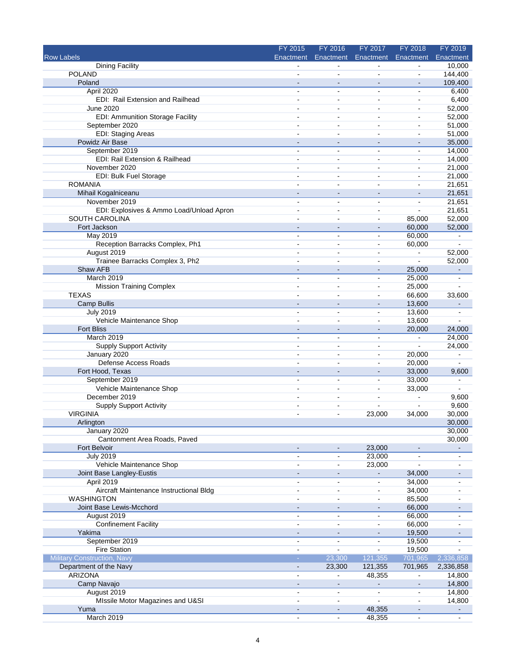|                                                      | FY 2015                                        | FY 2016                          | FY 2017                           | FY 2018                          | FY 2019                  |
|------------------------------------------------------|------------------------------------------------|----------------------------------|-----------------------------------|----------------------------------|--------------------------|
| <b>Row Labels</b>                                    | Enactment                                      | Enactment                        | Enactment                         | Enactment                        | Enactment                |
| <b>Dining Facility</b>                               |                                                |                                  |                                   |                                  | 10,000                   |
| <b>POLAND</b>                                        |                                                | $\blacksquare$                   | ä,                                | $\overline{a}$                   | 144,400                  |
| Poland                                               | $\sim$                                         | $\sim$                           | $\sim$                            | $\overline{a}$                   | 109,400                  |
| April 2020                                           | $\blacksquare$                                 | $\blacksquare$                   | $\blacksquare$                    | $\blacksquare$                   | 6,400                    |
| EDI: Rail Extension and Railhead<br><b>June 2020</b> | $\blacksquare$                                 | $\sim$<br>ä,                     | $\blacksquare$                    | $\blacksquare$<br>$\blacksquare$ | 6,400                    |
| <b>EDI: Ammunition Storage Facility</b>              | $\qquad \qquad \blacksquare$                   | $\blacksquare$                   | ۰<br>$\qquad \qquad \blacksquare$ | $\overline{a}$                   | 52,000<br>52,000         |
| September 2020                                       |                                                | $\overline{a}$                   | ÷                                 | ä,                               | 51,000                   |
| <b>EDI: Staging Areas</b>                            |                                                | $\blacksquare$                   | ä,                                | $\blacksquare$                   | 51,000                   |
| Powidz Air Base                                      |                                                | $\blacksquare$                   | $\blacksquare$                    | $\overline{\phantom{m}}$         | 35,000                   |
| September 2019                                       | ٠                                              | $\blacksquare$                   | $\blacksquare$                    | $\blacksquare$                   | 14,000                   |
| EDI: Rail Extension & Railhead                       |                                                | ä,                               |                                   | ä,                               | 14,000                   |
| November 2020                                        |                                                | $\overline{a}$                   | $\blacksquare$                    | $\overline{a}$                   | 21,000                   |
| EDI: Bulk Fuel Storage                               | $\blacksquare$                                 | ÷                                | $\blacksquare$                    | $\sim$                           | 21,000                   |
| <b>ROMANIA</b>                                       |                                                | $\overline{a}$                   | $\overline{a}$                    | $\sim$                           | 21,651                   |
| Mihail Kogalniceanu                                  |                                                | $\overline{\phantom{m}}$         | $\blacksquare$                    | $\overline{\phantom{a}}$         | 21,651                   |
| November 2019                                        |                                                | $\blacksquare$                   | ۰                                 | $\overline{a}$                   | 21,651                   |
| EDI: Explosives & Ammo Load/Unload Apron             |                                                | ÷                                | $\blacksquare$                    |                                  | 21,651                   |
| SOUTH CAROLINA                                       | $\blacksquare$                                 | ä,                               | $\blacksquare$                    | 85,000                           | 52,000                   |
| Fort Jackson                                         |                                                |                                  |                                   | 60,000                           | 52,000                   |
| May 2019                                             | $\blacksquare$                                 | $\sim$                           | $\blacksquare$                    | 60,000                           | $\blacksquare$           |
| Reception Barracks Complex, Ph1                      | ÷                                              | ÷.                               | ä,                                | 60,000                           |                          |
| August 2019                                          |                                                | $\blacksquare$                   | $\blacksquare$                    |                                  | 52,000                   |
| Trainee Barracks Complex 3, Ph2                      |                                                | $\overline{a}$                   | ۰                                 | ä,                               | 52,000                   |
| Shaw AFB                                             | $\sim$                                         | $\sim$                           | $\blacksquare$                    | 25,000                           | $\blacksquare$           |
| March 2019                                           | $\sim$                                         | $\blacksquare$                   | $\blacksquare$                    | 25,000                           | $\blacksquare$           |
| <b>Mission Training Complex</b>                      |                                                | $\overline{a}$                   | $\blacksquare$                    | 25,000                           |                          |
| <b>TEXAS</b>                                         | ÷                                              | $\overline{a}$                   | $\blacksquare$                    | 66,600                           | 33,600                   |
| <b>Camp Bullis</b>                                   |                                                | $\overline{\phantom{a}}$         | $\overline{\phantom{0}}$          | 13,600                           |                          |
| <b>July 2019</b>                                     |                                                | ä,                               | $\overline{\phantom{a}}$          | 13,600                           |                          |
| Vehicle Maintenance Shop                             |                                                | $\blacksquare$                   | ä,                                | 13,600                           | $\blacksquare$           |
| <b>Fort Bliss</b><br>March 2019                      |                                                | $\blacksquare$                   | $\qquad \qquad \blacksquare$      | 20,000<br>$\blacksquare$         | 24,000                   |
| <b>Supply Support Activity</b>                       | $\blacksquare$                                 | $\blacksquare$<br>$\blacksquare$ | $\blacksquare$                    |                                  | 24,000<br>24,000         |
| January 2020                                         | $\overline{a}$                                 | $\blacksquare$                   | ÷                                 | 20,000                           | $\overline{\phantom{a}}$ |
| Defense Access Roads                                 | $\blacksquare$                                 | $\overline{a}$                   | ä,                                | 20,000                           |                          |
| Fort Hood, Texas                                     |                                                | $\sim$                           | $\blacksquare$                    | 33,000                           | 9,600                    |
| September 2019                                       | $\blacksquare$                                 | $\blacksquare$                   | $\blacksquare$                    | 33,000                           |                          |
| Vehicle Maintenance Shop                             | $\overline{a}$                                 | ÷                                | $\sim$                            | 33,000                           | $\overline{a}$           |
| December 2019                                        |                                                | $\blacksquare$                   | $\overline{\phantom{0}}$          |                                  | 9,600                    |
| <b>Supply Support Activity</b>                       | $\blacksquare$                                 | $\blacksquare$                   | L.                                |                                  | 9,600                    |
| <b>VIRGINIA</b>                                      |                                                | $\blacksquare$                   | 23,000                            | 34,000                           | 30,000                   |
| Arlington                                            |                                                |                                  |                                   |                                  | 30,000                   |
| January 2020                                         |                                                |                                  |                                   |                                  | 30,000                   |
| Cantonment Area Roads, Paved                         |                                                |                                  |                                   |                                  | 30,000                   |
| <b>Fort Belvoir</b>                                  |                                                |                                  | 23,000                            | $\overline{a}$                   |                          |
| <b>July 2019</b>                                     | $\blacksquare$                                 | $\blacksquare$                   | 23,000                            |                                  | $\blacksquare$           |
| Vehicle Maintenance Shop                             | $\blacksquare$                                 | ä,                               | 23,000                            |                                  |                          |
| Joint Base Langley-Eustis                            |                                                |                                  |                                   | 34,000                           |                          |
| April 2019                                           | $\blacksquare$                                 | ä,                               | ÷                                 | 34,000                           | $\blacksquare$           |
| Aircraft Maintenance Instructional Bldg              | $\qquad \qquad \blacksquare$                   | $\blacksquare$                   | -                                 | 34,000                           |                          |
| <b>WASHINGTON</b>                                    |                                                | ä,                               | ۰                                 | 85,500                           |                          |
| Joint Base Lewis-Mcchord                             |                                                | $\qquad \qquad \blacksquare$     |                                   | 66,000                           |                          |
| August 2019                                          | $\qquad \qquad \blacksquare$                   | $\blacksquare$                   | ٠                                 | 66,000                           |                          |
| <b>Confinement Facility</b>                          | $\sim$                                         | $\blacksquare$                   | $\blacksquare$                    | 66,000                           |                          |
| Yakima                                               |                                                | $\blacksquare$                   |                                   | 19,500                           |                          |
| September 2019<br><b>Fire Station</b>                | $\qquad \qquad \blacksquare$<br>$\blacksquare$ | ٠<br>$\blacksquare$              | -<br>$\blacksquare$               | 19,500<br>19,500                 |                          |
| <b>Military Construction, Navy</b>                   |                                                | 23,300                           | 121,355                           | 701,965                          | 2,336,858                |
| Department of the Navy                               |                                                | 23,300                           | 121,355                           | 701,965                          | 2,336,858                |
| ARIZONA                                              | $\blacksquare$                                 | ÷                                | 48,355                            | $\blacksquare$                   | 14,800                   |
| Camp Navajo                                          |                                                | $\blacksquare$                   |                                   |                                  | 14,800                   |
| August 2019                                          | $\blacksquare$                                 | $\blacksquare$                   | ÷,                                | $\ddot{\phantom{a}}$             | 14,800                   |
| MIssile Motor Magazines and U&SI                     | $\blacksquare$                                 | ÷,                               | ä,                                | $\overline{a}$                   | 14,800                   |
| Yuma                                                 |                                                |                                  | 48,355                            |                                  |                          |
| March 2019                                           | $\overline{a}$                                 | ä,                               | 48,355                            | $\blacksquare$                   | ÷,                       |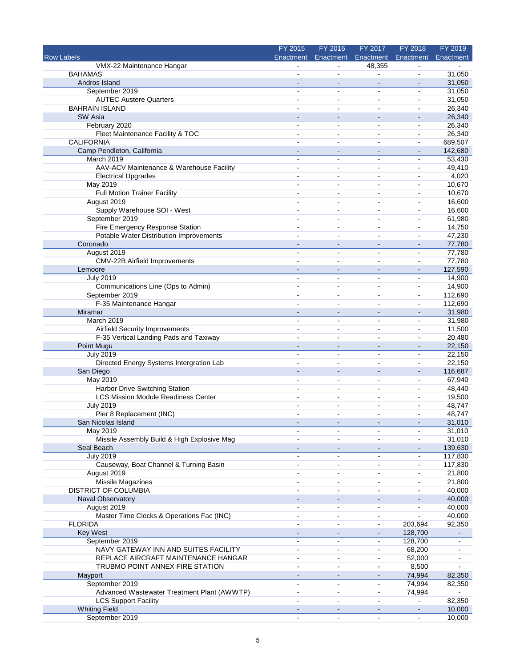|                                             | FY 2015                      | FY 2016                  | FY 2017                      | FY 2018                  | FY 2019   |
|---------------------------------------------|------------------------------|--------------------------|------------------------------|--------------------------|-----------|
| <b>Row Labels</b>                           | Enactment                    | Enactment                | Enactment                    | Enactment                | Enactment |
| VMX-22 Maintenance Hangar                   |                              |                          | 48,355                       |                          |           |
| <b>BAHAMAS</b>                              |                              |                          | ÷,                           |                          | 31,050    |
| Andros Island                               |                              | $\sim$                   | $\sim$                       | $\blacksquare$           | 31,050    |
| September 2019                              |                              | $\blacksquare$           | $\blacksquare$               | $\overline{a}$           | 31,050    |
| <b>AUTEC Austere Quarters</b>               |                              | $\sim$                   | ä,                           | $\blacksquare$           | 31,050    |
| <b>BAHRAIN ISLAND</b>                       |                              | ä,                       | ÷                            | $\blacksquare$           | 26,340    |
| SW Asia                                     |                              |                          |                              |                          | 26,340    |
| February 2020                               | $\sim$                       | $\overline{a}$           | ä,                           | ä,                       | 26,340    |
| Fleet Maintenance Facility & TOC            | $\blacksquare$               | ä,                       | $\blacksquare$               | $\blacksquare$           | 26,340    |
| <b>CALIFORNIA</b>                           |                              | $\overline{a}$           | $\overline{\phantom{0}}$     | $\blacksquare$           | 689,507   |
| Camp Pendleton, California                  |                              | $\blacksquare$           | $\sim$                       | $\blacksquare$           | 142,680   |
| March 2019                                  |                              | ä,                       | L.                           | ä,                       | 53,430    |
| AAV-ACV Maintenance & Warehouse Facility    | $\blacksquare$               | $\overline{a}$           | $\blacksquare$               | $\blacksquare$           | 49,410    |
| <b>Electrical Upgrades</b>                  | $\blacksquare$               | $\blacksquare$           | $\blacksquare$               | $\sim$                   | 4,020     |
| May 2019                                    |                              | ÷                        |                              | $\sim$                   | 10,670    |
| Full Motion Trainer Facility                | $\blacksquare$               | $\blacksquare$           | ۰                            | $\overline{a}$           | 10,670    |
| August 2019                                 |                              | ۰                        |                              | $\overline{a}$           | 16,600    |
| Supply Warehouse SOI - West                 |                              | $\overline{a}$           | $\blacksquare$               | $\blacksquare$           | 16,600    |
| September 2019                              |                              | ä,                       | ä,                           | $\blacksquare$           | 61,980    |
| Fire Emergency Response Station             |                              |                          |                              | $\overline{a}$           | 14,750    |
| Potable Water Distribution Improvements     |                              | ÷                        | $\blacksquare$               | $\blacksquare$           | 47,230    |
| Coronado                                    |                              | $\sim$                   | $\blacksquare$               | $\overline{\phantom{a}}$ | 77,780    |
| August 2019                                 |                              | $\blacksquare$           | $\blacksquare$               | $\blacksquare$           | 77,780    |
| CMV-22B Airfield Improvements               |                              | $\overline{a}$           |                              | $\blacksquare$           | 77,780    |
| Lemoore                                     | $\sim$                       | $\sim$                   | $\blacksquare$               | $\overline{\phantom{a}}$ | 127,590   |
| <b>July 2019</b>                            | $\sim$                       | $\blacksquare$           | $\blacksquare$               | $\overline{a}$           | 14,900    |
| Communications Line (Ops to Admin)          | $\blacksquare$               | $\blacksquare$           | $\blacksquare$               | $\blacksquare$           | 14,900    |
| September 2019                              | $\blacksquare$               | ÷                        | $\sim$                       | $\blacksquare$           | 112,690   |
| F-35 Maintenance Hangar                     |                              | ÷                        | $\blacksquare$               | $\blacksquare$           | 112,690   |
| Miramar                                     |                              | $\blacksquare$           | $\sim$                       | $\overline{\phantom{a}}$ | 31,980    |
| March 2019                                  | $\blacksquare$               | ÷,                       | ä,                           | $\overline{a}$           | 31,980    |
| Airfield Security Improvements              |                              | $\blacksquare$           | $\blacksquare$               | $\overline{a}$           | 11,500    |
| F-35 Vertical Landing Pads and Taxiway      |                              | $\overline{a}$           | $\blacksquare$               | ä,                       | 20,480    |
| Point Mugu                                  |                              | $\overline{\phantom{a}}$ |                              | $\overline{a}$           | 22,150    |
| <b>July 2019</b>                            | $\overline{a}$               | $\blacksquare$           | ÷                            | $\blacksquare$           | 22,150    |
| Directed Energy Systems Intergration Lab    | $\blacksquare$               | $\overline{a}$           | $\blacksquare$               | ä,                       | 22,150    |
| San Diego                                   |                              | $\sim$                   | $\blacksquare$               | $\blacksquare$           | 116,687   |
| May 2019                                    | $\blacksquare$               | $\blacksquare$           | $\blacksquare$               | $\blacksquare$           | 67,940    |
| Harbor Drive Switching Station              | $\overline{a}$               | ÷                        | $\sim$                       | $\blacksquare$           | 48,440    |
| <b>LCS Mission Module Readiness Center</b>  |                              | $\blacksquare$           |                              | $\blacksquare$           | 19,500    |
| <b>July 2019</b>                            | $\blacksquare$               | $\blacksquare$           | $\blacksquare$               | $\blacksquare$           | 48,747    |
| Pier 8 Replacement (INC)                    |                              | $\blacksquare$           | $\sim$                       | $\sim$                   | 48,747    |
| San Nicolas Island                          |                              |                          |                              |                          | 31,010    |
| May 2019                                    | $\overline{\phantom{a}}$     | $\overline{\phantom{a}}$ | $\blacksquare$               | $\blacksquare$           | 31,010    |
| Missile Assembly Build & High Explosive Mag |                              |                          | ä,                           | $\blacksquare$           | 31,010    |
| Seal Beach                                  |                              |                          |                              |                          | 139,630   |
| <b>July 2019</b>                            | $\blacksquare$               | $\blacksquare$           | $\blacksquare$               | $\overline{a}$           | 117,830   |
| Causeway, Boat Channel & Turning Basin      | $\overline{a}$               | ۰                        | ۰                            | $\overline{a}$           | 117,830   |
| August 2019                                 |                              | ۰                        |                              |                          | 21,800    |
| <b>Missile Magazines</b>                    | $\blacksquare$               | ä,                       | $\blacksquare$               | $\blacksquare$           | 21,800    |
| DISTRICT OF COLUMBIA                        |                              | $\blacksquare$           | $\qquad \qquad \blacksquare$ | $\overline{a}$           | 40,000    |
| Naval Observatory                           |                              |                          |                              |                          | 40,000    |
| August 2019                                 | $\blacksquare$               | ÷                        | ÷                            |                          | 40,000    |
| Master Time Clocks & Operations Fac (INC)   | $\qquad \qquad \blacksquare$ | ٠                        |                              |                          | 40,000    |
| <b>FLORIDA</b>                              | $\blacksquare$               | ÷,                       | $\blacksquare$               | 203,694                  | 92,350    |
| <b>Key West</b>                             |                              |                          |                              | 128,700                  |           |
| September 2019                              | $\qquad \qquad \blacksquare$ | ۰                        | $\blacksquare$               | 128,700                  |           |
| NAVY GATEWAY INN AND SUITES FACILITY        | $\blacksquare$               | $\blacksquare$           |                              | 68,200                   |           |
|                                             |                              |                          |                              |                          |           |
| REPLACE AIRCRAFT MAINTENANCE HANGAR         |                              |                          |                              | 52,000                   |           |
| TRUBMO POINT ANNEX FIRE STATION             | $\overline{a}$               | $\blacksquare$           | $\blacksquare$               | 8,500                    |           |
| Mayport                                     |                              | $\blacksquare$           |                              | 74,994                   | 82,350    |
| September 2019                              |                              | $\blacksquare$           | ÷                            | 74,994                   | 82,350    |
| Advanced Wastewater Treatment Plant (AWWTP) | $\blacksquare$               | ä,                       | ÷                            | 74,994                   |           |
| <b>LCS Support Facility</b>                 |                              | ä,                       |                              |                          | 82,350    |
| <b>Whiting Field</b>                        |                              |                          |                              |                          | 10,000    |
| September 2019                              | $\blacksquare$               | $\blacksquare$           | $\blacksquare$               | $\overline{a}$           | 10,000    |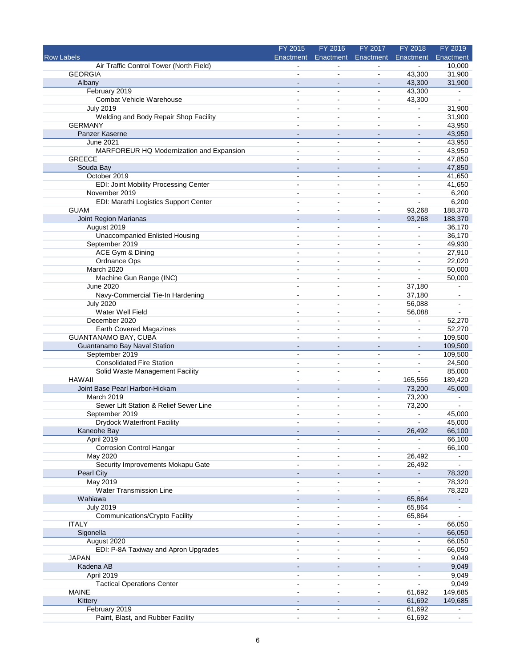|                                                         | FY 2015                          | FY 2016                      | FY 2017                  | FY 2018                  | FY 2019           |
|---------------------------------------------------------|----------------------------------|------------------------------|--------------------------|--------------------------|-------------------|
| <b>Row Labels</b>                                       | Enactment                        | Enactment                    | Enactment                | Enactment                | Enactment         |
| Air Traffic Control Tower (North Field)                 |                                  |                              |                          |                          | 10,000            |
| <b>GEORGIA</b>                                          |                                  | $\blacksquare$               |                          | 43,300                   | 31,900            |
| Albany                                                  | $\overline{\phantom{a}}$         | $\blacksquare$               | $\sim$                   | 43,300                   | 31,900            |
| February 2019                                           | $\blacksquare$                   | $\blacksquare$               | $\blacksquare$           | 43,300                   |                   |
| Combat Vehicle Warehouse                                | $\blacksquare$                   | $\sim$                       | $\sim$                   | 43,300                   | $\blacksquare$    |
| <b>July 2019</b>                                        |                                  | ä,                           | ۰                        | $\overline{a}$           | 31,900            |
| Welding and Body Repair Shop Facility<br><b>GERMANY</b> | $\overline{a}$                   | ۰<br>$\overline{a}$          | ۰<br>ä,                  | $\overline{a}$<br>ä,     | 31,900<br>43,950  |
| Panzer Kaserne                                          |                                  | $\overline{\phantom{a}}$     |                          | $\overline{\phantom{m}}$ | 43,950            |
| <b>June 2021</b>                                        | $\blacksquare$                   | ۰                            | ٠                        | $\blacksquare$           | 43,950            |
| MARFOREUR HQ Modernization and Expansion                | $\sim$                           | ÷,                           | $\sim$                   | ä,                       | 43,950            |
| <b>GREECE</b>                                           |                                  | ä,                           | L.                       | ä,                       | 47,850            |
| Souda Bay                                               | $\blacksquare$                   | $\qquad \qquad \blacksquare$ | $\blacksquare$           | $\overline{\phantom{a}}$ | 47,850            |
| October 2019                                            | $\blacksquare$                   | $\blacksquare$               | $\blacksquare$           | $\sim$                   | 41,650            |
| EDI: Joint Mobility Processing Center                   | ÷                                | $\blacksquare$               | $\sim$                   | $\sim$                   | 41,650            |
| November 2019                                           | $\blacksquare$                   | $\blacksquare$               | ä,                       | $\overline{a}$           | 6,200             |
| EDI: Marathi Logistics Support Center                   |                                  | ۰                            | ۰                        | $\blacksquare$           | 6,200             |
| <b>GUAM</b>                                             |                                  | ÷                            | ä,                       | 93,268                   | 188,370           |
| Joint Region Marianas                                   | $\overline{\phantom{a}}$         | $\blacksquare$               | $\blacksquare$           | 93,268                   | 188,370           |
| August 2019                                             |                                  | ۰                            | ۰                        |                          | 36,170            |
| <b>Unaccompanied Enlisted Housing</b>                   | $\blacksquare$<br>$\overline{a}$ | $\blacksquare$<br>÷.         | ۰                        | $\overline{a}$<br>ä,     | 36,170            |
| September 2019<br>ACE Gym & Dining                      |                                  | $\blacksquare$               | ä,<br>$\blacksquare$     | $\blacksquare$           | 49,930<br>27,910  |
| Ordnance Ops                                            |                                  | $\overline{\phantom{a}}$     | ۰                        | $\overline{a}$           | 22,020            |
| March 2020                                              | ÷.                               | $\overline{a}$               | $\overline{a}$           | $\overline{a}$           | 50,000            |
| Machine Gun Range (INC)                                 |                                  | $\blacksquare$               |                          |                          | 50,000            |
| June 2020                                               | $\blacksquare$                   | $\blacksquare$               | $\blacksquare$           | 37,180                   |                   |
| Navy-Commercial Tie-In Hardening                        | ÷                                | ÷                            | $\blacksquare$           | 37,180                   | $\blacksquare$    |
| <b>July 2020</b>                                        | $\blacksquare$                   | $\blacksquare$               | $\blacksquare$           | 56,088                   |                   |
| Water Well Field                                        |                                  | $\blacksquare$               | $\blacksquare$           | 56,088                   |                   |
| December 2020                                           |                                  | $\blacksquare$               | ۰                        | ä,                       | 52,270            |
| Earth Covered Magazines                                 |                                  | $\blacksquare$               | $\blacksquare$           | $\blacksquare$           | 52,270            |
| <b>GUANTANAMO BAY, CUBA</b>                             | $\blacksquare$                   | $\sim$                       | ä,                       | ä,                       | 109,500           |
| Guantanamo Bay Naval Station                            |                                  | $\overline{\phantom{a}}$     | $\blacksquare$           | L.                       | 109,500           |
| September 2019                                          | $\blacksquare$                   | $\blacksquare$               | ÷                        | $\blacksquare$           | 109,500           |
| <b>Consolidated Fire Station</b>                        | $\blacksquare$                   | $\overline{a}$               | $\blacksquare$           | ä,                       | 24,500            |
| Solid Waste Management Facility                         |                                  |                              |                          |                          | 85,000            |
| <b>HAWAII</b><br>Joint Base Pearl Harbor-Hickam         | $\overline{a}$                   | $\blacksquare$<br>$\sim$     | $\blacksquare$<br>$\sim$ | 165,556<br>73,200        | 189,420<br>45,000 |
| March 2019                                              | $\blacksquare$                   | $\blacksquare$               | ۰                        | 73,200                   |                   |
| Sewer Lift Station & Relief Sewer Line                  | $\sim$                           | $\blacksquare$               | $\blacksquare$           | 73,200                   |                   |
| September 2019                                          | ä,                               | $\blacksquare$               | ä,                       | $\blacksquare$           | 45,000            |
| <b>Drydock Waterfront Facility</b>                      |                                  |                              |                          |                          | 45,000            |
| Kaneohe Bay                                             | $\blacksquare$                   | $\blacksquare$               | $\blacksquare$           | 26,492                   | 66,100            |
| April 2019                                              |                                  |                              |                          | ÷                        | 66,100            |
| <b>Corrosion Control Hangar</b>                         |                                  | ä,                           |                          |                          | 66,100            |
| May 2020                                                |                                  | ä,                           | ÷                        | 26,492                   | $\blacksquare$    |
| Security Improvements Mokapu Gate                       |                                  | $\blacksquare$               | $\blacksquare$           | 26,492                   | ÷.                |
| <b>Pearl City</b>                                       |                                  |                              |                          |                          | 78,320            |
| <b>May 2019</b>                                         | $\blacksquare$                   | $\sim$                       | ۰                        | $\blacksquare$           | 78,320            |
| <b>Water Transmission Line</b>                          | $\blacksquare$                   | ۰                            | ۰                        |                          | 78,320            |
| Wahiawa                                                 |                                  |                              |                          | 65,864                   |                   |
| <b>July 2019</b>                                        | $\blacksquare$                   | $\blacksquare$               | ä,                       | 65,864                   | ä,                |
| Communications/Crypto Facility                          | $\blacksquare$<br>$\overline{a}$ | ٠                            | $\blacksquare$           | 65,864<br>ä,             |                   |
| <b>ITALY</b><br>Sigonella                               |                                  | ÷,<br>$\blacksquare$         | $\sim$                   | $\blacksquare$           | 66,050<br>66,050  |
| August 2020                                             | ۰                                | $\blacksquare$               | $\blacksquare$           | $\blacksquare$           | 66,050            |
| EDI: P-8A Taxiway and Apron Upgrades                    | $\blacksquare$                   | $\blacksquare$               | $\blacksquare$           | $\blacksquare$           | 66,050            |
| <b>JAPAN</b>                                            |                                  | ä,                           | ä,                       | ä,                       | 9,049             |
| Kadena AB                                               |                                  |                              | ۰                        |                          | 9,049             |
| April 2019                                              | $\blacksquare$                   | ۰                            | ۰                        | $\blacksquare$           | 9,049             |
| <b>Tactical Operations Center</b>                       |                                  | $\sim$                       |                          |                          | 9,049             |
| <b>MAINE</b>                                            | ä,                               | $\blacksquare$               | $\blacksquare$           | 61,692                   | 149,685           |
| Kittery                                                 |                                  |                              |                          | 61,692                   | 149,685           |
| February 2019                                           | ä,                               | $\blacksquare$               | ÷                        | 61,692                   |                   |
| Paint, Blast, and Rubber Facility                       | $\blacksquare$                   | $\blacksquare$               | $\blacksquare$           | 61,692                   | $\blacksquare$    |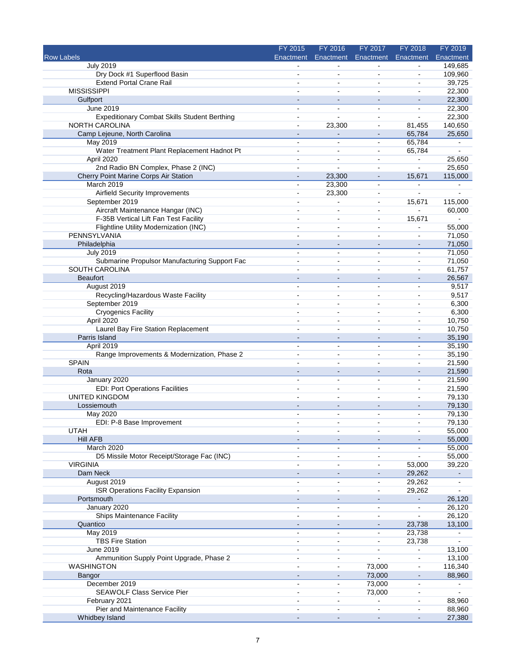|                                                     | FY 2015                  | FY 2016                  | FY 2017                  | FY 2018                  | FY 2019        |
|-----------------------------------------------------|--------------------------|--------------------------|--------------------------|--------------------------|----------------|
| <b>Row Labels</b>                                   | Enactment                | Enactment                | Enactment                | Enactment                | Enactment      |
| <b>July 2019</b>                                    |                          |                          |                          |                          | 149,685        |
| Dry Dock #1 Superflood Basin                        |                          | $\sim$                   | $\blacksquare$           | $\blacksquare$           | 109,960        |
| <b>Extend Portal Crane Rail</b>                     | $\blacksquare$           | $\sim$                   | $\blacksquare$           | $\blacksquare$           | 39,725         |
| <b>MISSISSIPPI</b>                                  |                          |                          |                          | $\blacksquare$           | 22,300         |
| Gulfport                                            |                          | $\sim$                   | $\overline{\phantom{a}}$ |                          | 22,300         |
| June 2019                                           | $\blacksquare$           | $\sim$                   | $\blacksquare$           | $\blacksquare$           | 22,300         |
| <b>Expeditionary Combat Skills Student Berthing</b> |                          |                          |                          |                          | 22,300         |
| <b>NORTH CAROLINA</b>                               | ä,                       | 23,300                   | $\blacksquare$           | 81,455                   | 140,650        |
| Camp Lejeune, North Carolina                        |                          |                          |                          | 65,784                   | 25,650         |
| May 2019                                            | $\blacksquare$           | $\blacksquare$           | $\blacksquare$           | 65,784                   | $\blacksquare$ |
| Water Treatment Plant Replacement Hadnot Pt         | $\blacksquare$           | $\blacksquare$           | $\blacksquare$           | 65,784                   | $\blacksquare$ |
| April 2020                                          |                          |                          |                          | $\blacksquare$           | 25,650         |
| 2nd Radio BN Complex, Phase 2 (INC)                 | $\blacksquare$           | $\blacksquare$           | $\overline{a}$           | $\blacksquare$           | 25,650         |
| Cherry Point Marine Corps Air Station               | $\blacksquare$           | 23,300                   | $\blacksquare$           | 15,671                   | 115,000        |
| March 2019                                          | ۰                        | 23,300                   | $\blacksquare$           |                          |                |
| Airfield Security Improvements                      | ä,                       | 23,300                   | $\blacksquare$           | $\overline{a}$           | $\blacksquare$ |
| September 2019                                      |                          | $\sim$                   | $\blacksquare$           | 15,671                   | 115,000        |
| Aircraft Maintenance Hangar (INC)                   |                          |                          |                          |                          | 60,000         |
| F-35B Vertical Lift Fan Test Facility               | $\blacksquare$           | $\blacksquare$           | $\blacksquare$           | 15,671                   |                |
| Flightline Utility Modernization (INC)              |                          | $\sim$                   | $\overline{a}$           | $\overline{\phantom{a}}$ | 55,000         |
| PENNSYLVANIA                                        |                          | $\overline{a}$           | $\blacksquare$           | $\blacksquare$           | 71,050         |
| Philadelphia                                        |                          | $\blacksquare$           | $\blacksquare$           | $\blacksquare$           | 71,050         |
| July 2019                                           | $\blacksquare$           | $\sim$                   | $\blacksquare$           | $\blacksquare$           | 71,050         |
| Submarine Propulsor Manufacturing Support Fac       |                          | $\blacksquare$           |                          | $\blacksquare$           | 71,050         |
| SOUTH CAROLINA                                      | $\blacksquare$           | $\overline{a}$           | $\blacksquare$           | $\blacksquare$           | 61,757         |
| <b>Beaufort</b>                                     |                          |                          | $\blacksquare$           |                          | 26,567         |
| August 2019                                         | ä,                       | $\overline{a}$           | ä,                       | $\overline{a}$           | 9,517          |
| Recycling/Hazardous Waste Facility                  | ÷.                       | ÷                        | $\blacksquare$           | $\overline{a}$           | 9,517          |
| September 2019                                      |                          | $\blacksquare$           |                          | $\blacksquare$           | 6,300          |
| <b>Cryogenics Facility</b>                          | $\blacksquare$           | $\sim$                   | $\blacksquare$           | $\blacksquare$           | 6,300          |
| April 2020                                          |                          | $\sim$                   | $\sim$                   | $\overline{\phantom{a}}$ | 10,750         |
| Laurel Bay Fire Station Replacement                 |                          | $\sim$                   | $\blacksquare$           | $\overline{\phantom{a}}$ | 10,750         |
| Parris Island                                       |                          |                          |                          | $\sim$                   | 35,190         |
| April 2019                                          |                          | $\overline{a}$           | $\blacksquare$           | $\ddot{\phantom{a}}$     | 35,190         |
| Range Improvements & Modernization, Phase 2         |                          | $\blacksquare$           | $\overline{a}$           | $\blacksquare$           | 35,190         |
| <b>SPAIN</b>                                        |                          | $\overline{a}$           | $\blacksquare$           | $\blacksquare$           | 21,590         |
| Rota                                                |                          | $\blacksquare$           | $\overline{a}$           | $\blacksquare$           | 21,590         |
| January 2020                                        | ä,                       | $\blacksquare$           | $\overline{a}$           | $\blacksquare$           | 21,590         |
| <b>EDI: Port Operations Facilities</b>              | $\blacksquare$           | ÷                        | $\blacksquare$           | $\blacksquare$           | 21,590         |
| <b>UNITED KINGDOM</b>                               |                          |                          |                          | $\blacksquare$           | 79,130         |
| Lossiemouth                                         |                          | $\blacksquare$           | $\overline{\phantom{a}}$ |                          | 79,130         |
| May 2020                                            | ä,                       | $\blacksquare$           | $\blacksquare$           | $\sim$                   | 79,130         |
| EDI: P-8 Base Improvement                           |                          |                          |                          |                          | 79,130         |
| UTAH                                                | $\overline{\phantom{a}}$ | $\blacksquare$           | $\overline{\phantom{a}}$ | $\blacksquare$           | 55,000         |
| <b>Hill AFB</b>                                     |                          |                          |                          |                          | 55,000         |
| March 2020                                          |                          | $\blacksquare$           |                          |                          | 55,000         |
| D5 Missile Motor Receipt/Storage Fac (INC)          |                          | $\sim$                   | $\blacksquare$           |                          | 55,000         |
| <b>VIRGINIA</b>                                     |                          | $\blacksquare$           | $\blacksquare$           | 53,000                   | 39,220         |
| Dam Neck                                            |                          |                          |                          | 29,262                   |                |
| August 2019                                         | $\blacksquare$           | $\sim$                   | $\blacksquare$           | 29,262                   | $\blacksquare$ |
| ISR Operations Facility Expansion                   |                          | $\blacksquare$           | ۰                        | 29,262                   |                |
| Portsmouth                                          |                          |                          |                          | $\blacksquare$           | 26,120         |
| January 2020                                        | ä,                       | $\blacksquare$           | $\blacksquare$           | $\blacksquare$           | 26,120         |
| Ships Maintenance Facility                          | $\blacksquare$           | $\overline{\phantom{a}}$ | $\overline{a}$           | $\blacksquare$           | 26,120         |
| Quantico                                            |                          |                          |                          | 23,738                   | 13,100         |
| May 2019                                            | ä,                       | $\blacksquare$           | $\blacksquare$           | 23,738                   | $\blacksquare$ |
| <b>TBS Fire Station</b>                             | ۰                        | $\overline{\phantom{a}}$ | $\blacksquare$           | 23,738                   | $\blacksquare$ |
| June 2019                                           |                          | $\blacksquare$           |                          | $\blacksquare$           | 13,100         |
| Ammunition Supply Point Upgrade, Phase 2            |                          |                          | $\blacksquare$           |                          | 13,100         |
| <b>WASHINGTON</b>                                   |                          | $\blacksquare$           | 73,000                   | $\blacksquare$           | 116,340        |
| Bangor                                              |                          | $\sim$                   | 73,000                   | $\blacksquare$           | 88,960         |
| December 2019                                       |                          | $\blacksquare$           | 73,000                   | $\blacksquare$           | $\blacksquare$ |
| SEAWOLF Class Service Pier                          | $\blacksquare$           | $\blacksquare$           | 73,000                   | $\blacksquare$           | $\blacksquare$ |
| February 2021                                       |                          | $\blacksquare$           | $\blacksquare$           | $\blacksquare$           | 88,960         |
| Pier and Maintenance Facility                       |                          |                          | $\blacksquare$           |                          | 88,960         |
| Whidbey Island                                      |                          |                          | $\blacksquare$           |                          | 27,380         |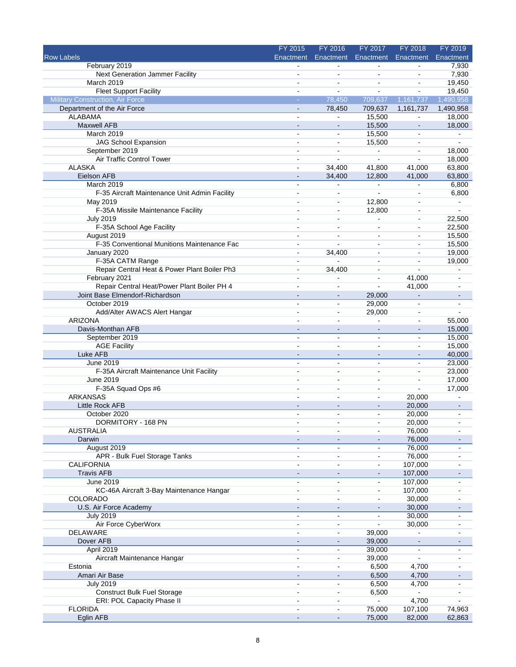|                                               | FY 2015                  | FY 2016                      | FY 2017                      | FY 2018                  | FY 2019                  |
|-----------------------------------------------|--------------------------|------------------------------|------------------------------|--------------------------|--------------------------|
| <b>Row Labels</b>                             | Enactment                | Enactment                    | Enactment                    | Enactment                | Enactment                |
| February 2019                                 |                          |                              |                              |                          | 7,930                    |
| Next Generation Jammer Facility               | $\blacksquare$           | $\blacksquare$               | ä,                           |                          | 7,930                    |
| March 2019                                    | $\blacksquare$           | $\blacksquare$               | ä,                           | $\overline{a}$           | 19,450                   |
| <b>Fleet Support Facility</b>                 | $\blacksquare$           |                              | ÷                            | ÷                        | 19,450                   |
| <b>Military Construction, Air Force</b>       | $\omega$                 | 78,450                       | 709,637                      | 1,161,737                | 1,490,958                |
| Department of the Air Force                   |                          | 78,450                       | 709,637                      | 1,161,737                | 1,490,958                |
| <b>ALABAMA</b>                                | $\overline{\phantom{a}}$ | ä,                           | 15,500                       | $\blacksquare$           | 18,000                   |
| <b>Maxwell AFB</b>                            | $\sim$                   | $\blacksquare$               | 15,500                       | $\blacksquare$           | 18,000                   |
| March 2019                                    | $\sim$                   | $\blacksquare$               | 15,500                       | $\blacksquare$           | L.                       |
| <b>JAG School Expansion</b>                   |                          | $\overline{a}$               | 15,500                       | $\blacksquare$           | ۰                        |
| September 2019                                | $\overline{a}$           | $\blacksquare$               | $\blacksquare$               | $\blacksquare$           | 18,000                   |
| Air Traffic Control Tower                     |                          | $\overline{a}$               | L.                           | $\overline{a}$           | 18,000                   |
| <b>ALASKA</b>                                 | $\sim$                   | 34,400                       | 41,800                       | 41,000                   | 63,800                   |
| Eielson AFB                                   |                          | 34,400                       | 12,800                       | 41,000                   | 63,800                   |
| March 2019                                    | $\sim$                   | $\blacksquare$               | $\blacksquare$               | $\blacksquare$           | 6,800                    |
| F-35 Aircraft Maintenance Unit Admin Facility | $\overline{a}$           | ä,                           | ä,                           | ä,                       | 6,800                    |
| May 2019                                      | $\blacksquare$           | $\sim$                       | 12,800                       | ä,                       | $\blacksquare$           |
| F-35A Missile Maintenance Facility            |                          | $\blacksquare$               | 12,800                       | $\overline{a}$           | ä,                       |
| <b>July 2019</b>                              | $\overline{a}$           | $\blacksquare$               | $\blacksquare$               | ä,                       | 22,500                   |
| F-35A School Age Facility                     |                          | $\sim$                       | ä,                           | $\blacksquare$           | 22,500                   |
| August 2019                                   |                          | $\blacksquare$               | $\overline{\phantom{a}}$     | $\overline{a}$           | 15,500                   |
| F-35 Conventional Munitions Maintenance Fac   | $\overline{a}$           | $\overline{a}$               | $\blacksquare$               | $\blacksquare$           | 15,500                   |
| January 2020                                  | $\sim$                   | 34,400                       | $\sim$                       | $\blacksquare$           | 19,000                   |
| F-35A CATM Range                              | $\sim$                   | $\overline{a}$               | $\blacksquare$               | ä,                       | 19,000                   |
| Repair Central Heat & Power Plant Boiler Ph3  | $\sim$                   | 34,400                       | $\blacksquare$               | L,                       |                          |
| February 2021                                 | $\sim$                   | $\blacksquare$               | $\blacksquare$               | 41,000                   |                          |
| Repair Central Heat/Power Plant Boiler PH 4   | $\overline{a}$           | $\overline{a}$               | $\blacksquare$               | 41,000                   |                          |
| Joint Base Elmendorf-Richardson               |                          | $\blacksquare$               | 29,000                       | $\blacksquare$           | $\blacksquare$           |
| October 2019                                  | $\blacksquare$           | $\blacksquare$               | 29,000                       | $\blacksquare$           | ۰                        |
| Add/Alter AWACS Alert Hangar                  | $\sim$                   | $\blacksquare$               | 29,000                       | ä,                       | $\overline{a}$           |
| <b>ARIZONA</b>                                |                          | ä,                           |                              | ä,                       | 55,000                   |
| Davis-Monthan AFB                             |                          | $\qquad \qquad \blacksquare$ | $\qquad \qquad \blacksquare$ | $\overline{\phantom{a}}$ | 15,000                   |
| September 2019                                | $\blacksquare$           | $\sim$                       | $\blacksquare$               | $\blacksquare$           | 15,000                   |
| <b>AGE Facility</b>                           | $\sim$                   | $\overline{a}$               | $\sim$                       | ä,                       | 15,000                   |
| Luke AFB                                      | $\blacksquare$           | ÷                            | $\blacksquare$               | $\blacksquare$           | 40,000                   |
| June 2019                                     |                          | ä,                           | $\overline{\phantom{a}}$     | $\blacksquare$           | 23,000                   |
| F-35A Aircraft Maintenance Unit Facility      |                          | $\sim$                       | $\blacksquare$               | $\blacksquare$           | 23,000                   |
| June 2019                                     | $\sim$                   | $\blacksquare$               | $\blacksquare$               | ä,                       | 17,000                   |
| F-35A Squad Ops #6                            | $\sim$                   | $\overline{\phantom{a}}$     | $\blacksquare$               | $\blacksquare$           | 17,000                   |
| <b>ARKANSAS</b>                               |                          |                              | $\overline{a}$               | 20,000                   | ٠                        |
| Little Rock AFB                               | $\sim$                   | $\blacksquare$               | $\blacksquare$               | 20,000                   | $\blacksquare$           |
| October 2020                                  |                          |                              |                              | 20,000                   |                          |
| DORMITORY - 168 PN                            |                          |                              |                              | 20,000                   |                          |
| <b>AUSTRALIA</b>                              | $\blacksquare$           | $\blacksquare$               | $\blacksquare$               | 76,000                   | $\overline{\phantom{a}}$ |
| Darwin                                        | $\blacksquare$           | $\blacksquare$               |                              | 76,000                   |                          |
| August 2019                                   |                          |                              |                              | 76,000                   |                          |
| APR - Bulk Fuel Storage Tanks                 | $\overline{\phantom{a}}$ | $\blacksquare$               | $\blacksquare$               | 76,000                   | $\overline{\phantom{0}}$ |
| <b>CALIFORNIA</b>                             | $\blacksquare$           | $\blacksquare$               | $\blacksquare$               | 107,000                  |                          |
| <b>Travis AFB</b>                             |                          |                              |                              | 107,000                  |                          |
| June 2019                                     | $\overline{\phantom{a}}$ | $\blacksquare$               | $\blacksquare$               | 107,000                  | $\overline{\phantom{0}}$ |
| KC-46A Aircraft 3-Bay Maintenance Hangar      | $\blacksquare$           | $\qquad \qquad \blacksquare$ | $\blacksquare$               | 107,000                  |                          |
| COLORADO                                      | $\sim$                   | $\blacksquare$               | $\blacksquare$               | 30,000                   |                          |
| U.S. Air Force Academy                        | $\blacksquare$           | $\blacksquare$               | $\blacksquare$               | 30,000                   |                          |
| <b>July 2019</b>                              | $\blacksquare$           | $\blacksquare$               | $\blacksquare$               | 30,000                   | $\blacksquare$           |
| Air Force CyberWorx                           | $\sim$                   | $\blacksquare$               | $\blacksquare$               | 30,000                   |                          |
| DELAWARE                                      |                          | $\blacksquare$               | 39,000                       |                          |                          |
| Dover AFB                                     | $\blacksquare$           |                              | 39,000                       | $\blacksquare$           |                          |
| April 2019                                    | $\blacksquare$           | $\overline{\phantom{a}}$     | 39,000                       | $\blacksquare$           |                          |
| Aircraft Maintenance Hangar                   | $\blacksquare$           | $\blacksquare$               | 39,000                       |                          |                          |
| Estonia                                       | $\blacksquare$           | $\blacksquare$               | 6,500                        | 4,700                    |                          |
| Amari Air Base                                |                          | ۰.                           | 6,500                        | 4,700                    |                          |
| <b>July 2019</b>                              | $\blacksquare$           | $\blacksquare$               | 6,500                        | 4,700                    |                          |
| <b>Construct Bulk Fuel Storage</b>            | $\sim$                   | $\blacksquare$               | 6,500                        | $\mathbf{r}$             | $\overline{\phantom{a}}$ |
| ERI: POL Capacity Phase II                    | $\sim$                   | $\blacksquare$               | $\sim$                       | 4,700                    | $\overline{a}$           |
| <b>FLORIDA</b>                                |                          |                              | 75,000                       | 107,100                  | 74,963                   |
| Eglin AFB                                     | $\sim$                   | $\blacksquare$               | 75,000                       | 82,000                   | 62,863                   |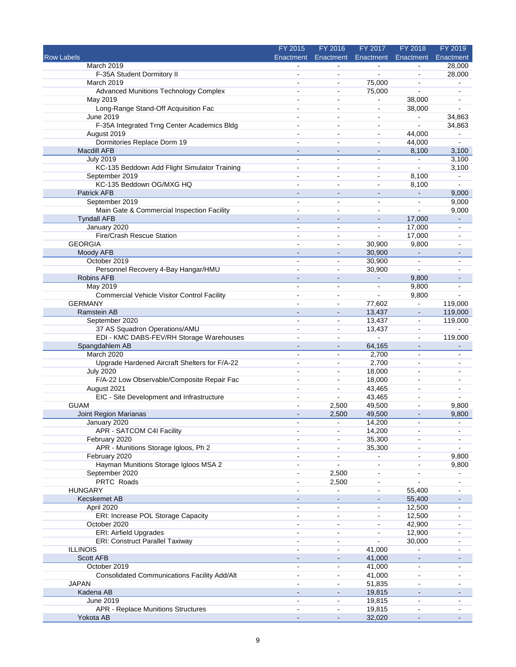|                                                     | FY 2015                  | FY 2016                  | FY 2017                      | FY 2018                      | FY 2019                  |
|-----------------------------------------------------|--------------------------|--------------------------|------------------------------|------------------------------|--------------------------|
| <b>Row Labels</b>                                   | Enactment                | Enactment                | Enactment                    | Enactment                    | Enactment                |
| March 2019                                          |                          |                          | $\sim$                       |                              | 28,000                   |
| F-35A Student Dormitory II                          |                          | $\overline{a}$           | ٠                            |                              | 28,000                   |
| March 2019                                          | $\blacksquare$           | $\blacksquare$           | 75,000                       | ÷,                           |                          |
| <b>Advanced Munitions Technology Complex</b>        |                          | $\blacksquare$           | 75,000                       | ä,                           | $\blacksquare$           |
| May 2019                                            |                          | $\sim$                   | ۰                            | 38,000                       |                          |
| Long-Range Stand-Off Acquisition Fac                |                          | ä,                       | ÷                            | 38,000                       |                          |
| June 2019                                           | $\blacksquare$           | $\blacksquare$           | $\blacksquare$               | $\blacksquare$               | 34,863                   |
| F-35A Integrated Trng Center Academics Bldg         |                          | $\overline{a}$           | $\blacksquare$               | $\blacksquare$               | 34,863                   |
| August 2019                                         |                          | ۰                        | $\blacksquare$               | 44,000                       |                          |
| Dormitories Replace Dorm 19                         | $\ddot{\phantom{1}}$     | $\sim$                   | $\blacksquare$               | 44,000                       | $\sim$                   |
| Macdill AFB                                         |                          |                          |                              | 8,100                        | 3,100                    |
| <b>July 2019</b>                                    |                          | $\blacksquare$           | $\blacksquare$               | L.                           | 3,100                    |
| KC-135 Beddown Add Flight Simulator Training        | ۰                        | $\blacksquare$           | $\overline{a}$               |                              | 3,100                    |
| September 2019                                      | $\blacksquare$           | $\blacksquare$           | $\blacksquare$               | 8,100                        | $\sim$                   |
| KC-135 Beddown OG/MXG HQ                            |                          | $\overline{a}$           | $\sim$                       | 8,100                        |                          |
| <b>Patrick AFB</b>                                  |                          | $\blacksquare$           | $\qquad \qquad \blacksquare$ | $\blacksquare$               | 9,000                    |
| September 2019                                      | $\overline{a}$           | $\blacksquare$           | $\blacksquare$               | ÷                            | 9,000                    |
| Main Gate & Commercial Inspection Facility          |                          | $\sim$                   | $\blacksquare$               |                              | 9,000                    |
| <b>Tyndall AFB</b>                                  | $\blacksquare$           | $\blacksquare$           | $\blacksquare$               | 17,000                       | $\blacksquare$           |
| January 2020                                        |                          |                          | $\blacksquare$               | 17,000                       |                          |
| Fire/Crash Rescue Station                           |                          | $\blacksquare$           | ä,                           | 17,000                       |                          |
| <b>GEORGIA</b>                                      | ä,                       | $\blacksquare$           | 30,900                       | 9,800                        | $\sim$                   |
| Moody AFB                                           |                          | ä,                       | 30,900                       |                              |                          |
| October 2019                                        |                          | $\overline{a}$           | 30,900                       |                              |                          |
| Personnel Recovery 4-Bay Hangar/HMU                 | ä,                       | $\blacksquare$           | 30,900                       | ä,                           |                          |
| <b>Robins AFB</b>                                   |                          | ä,                       |                              | 9,800                        |                          |
| May 2019                                            | $\overline{a}$           | ä,                       | $\blacksquare$               | 9,800                        |                          |
| <b>Commercial Vehicle Visitor Control Facility</b>  | $\blacksquare$           | $\overline{a}$           | $\overline{a}$               | 9,800                        |                          |
| <b>GERMANY</b>                                      |                          | $\blacksquare$           | 77,602                       | $\blacksquare$               | 119,000                  |
| Ramstein AB                                         |                          | $\blacksquare$           | 13,437                       | $\blacksquare$               | 119,000                  |
| September 2020                                      | L.                       | $\blacksquare$           | 13,437                       | $\blacksquare$               | 119,000                  |
| 37 AS Squadron Operations/AMU                       |                          | $\blacksquare$           | 13,437                       | ۰                            |                          |
| EDI - KMC DABS-FEV/RH Storage Warehouses            | $\blacksquare$           | $\blacksquare$           | $\blacksquare$               | ÷,                           | 119,000                  |
| Spangdahlem AB                                      |                          | $\overline{\phantom{a}}$ | 64,165                       | $\blacksquare$               |                          |
| March 2020                                          | $\overline{a}$           | $\blacksquare$           | 2,700                        | $\blacksquare$               | $\blacksquare$           |
| Upgrade Hardened Aircraft Shelters for F/A-22       | $\blacksquare$           | $\sim$                   | 2,700                        | $\overline{a}$               |                          |
| <b>July 2020</b>                                    |                          | $\sim$                   | 18,000                       |                              |                          |
| F/A-22 Low Observable/Composite Repair Fac          | $\overline{a}$           | $\blacksquare$           | 18,000                       | $\blacksquare$               |                          |
| August 2021                                         | $\sim$                   | $\blacksquare$           | 43,465                       | $\sim$                       | $\overline{a}$           |
| EIC - Site Development and Infrastructure           |                          | ä,                       | 43,465                       | $\sim$                       |                          |
| <b>GUAM</b>                                         |                          | 2,500                    | 49,500                       | $\blacksquare$               | 9,800                    |
| Joint Region Marianas                               |                          | 2,500                    | 49,500                       |                              | 9,800                    |
| January 2020                                        |                          |                          | 14,200                       |                              |                          |
| APR - SATCOM C4I Facility                           |                          | $\blacksquare$           | 14,200                       | $\sim$                       | $\overline{\phantom{a}}$ |
| February 2020                                       |                          |                          | 35,300                       |                              |                          |
| APR - Munitions Storage Igloos, Ph 2                |                          | $\blacksquare$           | 35,300                       |                              |                          |
| February 2020                                       | $\blacksquare$           | ä,                       | ۰                            | $\blacksquare$               | 9,800                    |
| Hayman Munitions Storage Igloos MSA 2               |                          | ÷                        | ä,                           |                              | 9,800                    |
| September 2020                                      |                          | 2,500                    |                              |                              |                          |
| PRTC Roads                                          | ۰                        | 2,500                    | $\blacksquare$               |                              | $\sim$                   |
| <b>HUNGARY</b>                                      |                          |                          | $\blacksquare$               | 55,400                       |                          |
| <b>Kecskemet AB</b>                                 |                          |                          |                              | 55,400                       |                          |
| April 2020                                          | ä,                       | $\blacksquare$           | $\blacksquare$               | 12,500                       |                          |
| ERI: Increase POL Storage Capacity                  | $\blacksquare$           | $\blacksquare$           | $\blacksquare$               | 12,500                       |                          |
| October 2020                                        |                          | $\blacksquare$           |                              | 42,900                       |                          |
| <b>ERI: Airfield Upgrades</b>                       |                          | ۰                        |                              | 12,900                       |                          |
| <b>ERI: Construct Parallel Taxiway</b>              | $\overline{\phantom{a}}$ | $\overline{\phantom{a}}$ |                              | 30,000                       |                          |
| <b>ILLINOIS</b>                                     |                          | $\blacksquare$           | 41,000                       |                              |                          |
| <b>Scott AFB</b>                                    |                          | $\blacksquare$           | 41,000                       | $\qquad \qquad \blacksquare$ |                          |
| October 2019                                        | $\blacksquare$           | $\blacksquare$           | 41,000                       | $\blacksquare$               |                          |
| <b>Consolidated Communications Facility Add/Alt</b> | $\overline{a}$           | $\blacksquare$           | 41,000                       | $\blacksquare$               |                          |
| <b>JAPAN</b>                                        |                          | $\blacksquare$           | 51,835                       | $\blacksquare$               |                          |
| Kadena AB                                           | $\overline{\phantom{m}}$ | $\blacksquare$           | 19,815                       | ٠                            |                          |
| June 2019                                           | $\overline{a}$           | $\blacksquare$           | 19,815                       | $\blacksquare$               |                          |
| <b>APR - Replace Munitions Structures</b>           |                          |                          | 19,815                       |                              |                          |
| Yokota AB                                           | $\blacksquare$           | $\blacksquare$           | 32,020                       | $\overline{\phantom{a}}$     |                          |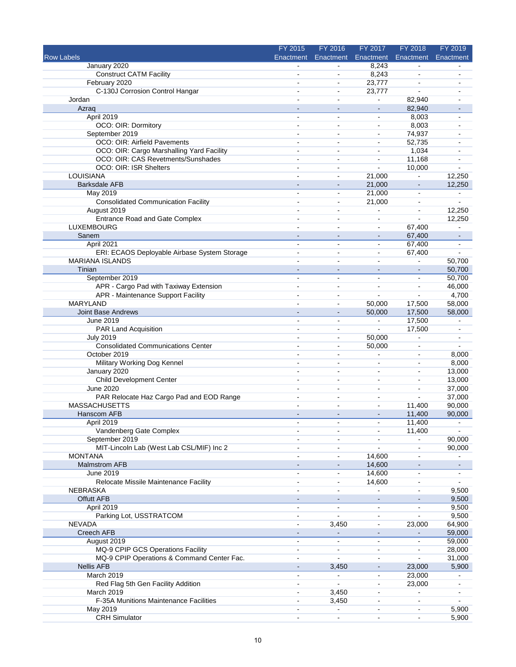|                                              | FY 2015                  | FY 2016                  | FY 2017                  | FY 2018                  | FY 2019        |
|----------------------------------------------|--------------------------|--------------------------|--------------------------|--------------------------|----------------|
| <b>Row Labels</b>                            | <b>Enactment</b>         | Enactment                | Enactment                | Enactment                | Enactment      |
| January 2020                                 |                          |                          | 8,243                    |                          |                |
| <b>Construct CATM Facility</b>               | $\sim$                   | $\blacksquare$           | 8,243                    |                          |                |
| February 2020                                | $\blacksquare$           | $\tilde{\phantom{a}}$    | 23,777                   | $\sim$                   |                |
| C-130J Corrosion Control Hangar              |                          | $\overline{a}$           | 23,777                   |                          |                |
| Jordan                                       |                          | $\overline{a}$           | $\blacksquare$           | 82,940                   |                |
| Azrag                                        | $\blacksquare$           | $\sim$                   | $\blacksquare$           | 82,940                   |                |
| April 2019                                   | $\blacksquare$           | $\sim$                   | $\blacksquare$           | 8,003                    |                |
| OCO: OIR: Dormitory                          | L,                       | $\overline{a}$           | $\blacksquare$           | 8,003                    |                |
| September 2019                               | $\ddot{\phantom{a}}$     | $\overline{a}$           | $\sim$                   | 74,937                   |                |
| OCO: OIR: Airfield Pavements                 |                          | $\sim$                   | $\blacksquare$           | 52,735                   |                |
| OCO: OIR: Cargo Marshalling Yard Facility    | ÷,                       | $\blacksquare$           | $\blacksquare$           | 1,034                    |                |
| OCO: OIR: CAS Revetments/Sunshades           | $\sim$                   | $\blacksquare$           | $\blacksquare$           | 11,168                   |                |
| OCO: OIR: ISR Shelters                       | $\overline{\phantom{a}}$ | $\blacksquare$           |                          | 10,000                   |                |
| LOUISIANA                                    | $\overline{a}$           | $\blacksquare$           | 21,000                   | $\sim$                   | 12,250         |
| <b>Barksdale AFB</b>                         |                          | $\overline{a}$           | 21,000                   | $\sim$                   | 12,250         |
| May 2019                                     | $\blacksquare$           | $\blacksquare$           | 21,000                   | $\blacksquare$           |                |
| <b>Consolidated Communication Facility</b>   | $\overline{a}$           | $\overline{a}$           | 21,000                   | $\sim$                   | $\mathbf{r}$   |
| August 2019                                  |                          |                          |                          |                          | 12,250         |
| <b>Entrance Road and Gate Complex</b>        |                          | $\overline{a}$           |                          |                          | 12,250         |
| LUXEMBOURG                                   | $\overline{a}$           | $\overline{a}$           | $\blacksquare$           | 67,400                   |                |
| Sanem                                        |                          |                          |                          | 67,400                   | $\blacksquare$ |
| April 2021                                   | $\overline{\phantom{a}}$ | $\blacksquare$           | $\blacksquare$           | 67,400                   | $\blacksquare$ |
| ERI: ECAOS Deployable Airbase System Storage |                          | $\overline{a}$           | $\overline{a}$           | 67,400                   | $\sim$         |
| <b>MARIANA ISLANDS</b>                       |                          | ÷                        | $\overline{a}$           |                          | 50,700         |
| Tinian                                       | $\sim$                   | $\sim$                   | $\blacksquare$           | $\overline{\phantom{a}}$ | 50,700         |
| September 2019                               |                          | ä,                       | $\blacksquare$           | $\blacksquare$           | 50,700         |
| APR - Cargo Pad with Taxiway Extension       | $\sim$                   | $\overline{\phantom{a}}$ | $\blacksquare$           | $\blacksquare$           | 46,000         |
| APR - Maintenance Support Facility           | $\sim$                   | $\overline{\phantom{a}}$ |                          |                          | 4,700          |
| <b>MARYLAND</b>                              |                          | $\blacksquare$           |                          |                          |                |
|                                              |                          |                          | 50,000                   | 17,500                   | 58,000         |
| Joint Base Andrews                           |                          |                          | 50,000                   | 17,500                   | 58,000         |
| June 2019                                    | $\sim$                   | $\ddot{\phantom{1}}$     | $\blacksquare$           | 17,500                   | $\blacksquare$ |
| PAR Land Acquisition                         |                          | $\sim$                   | ÷.                       | 17,500                   |                |
| <b>July 2019</b>                             | $\overline{a}$           | ä,                       | 50,000                   | ÷,                       | $\blacksquare$ |
| <b>Consolidated Communications Center</b>    |                          | $\ddot{\phantom{a}}$     | 50,000                   | $\blacksquare$           |                |
| October 2019                                 | $\overline{\phantom{a}}$ | $\blacksquare$           |                          | $\blacksquare$           | 8,000          |
| Military Working Dog Kennel                  | $\overline{a}$           | $\overline{a}$           | $\overline{a}$           | $\sim$                   | 8,000          |
| January 2020                                 | $\ddot{\phantom{1}}$     | $\overline{a}$           | $\overline{\phantom{a}}$ | $\sim$                   | 13,000         |
| <b>Child Development Center</b>              | $\sim$                   | $\blacksquare$           | $\overline{\phantom{0}}$ | $\overline{a}$           | 13,000         |
| June 2020                                    | $\overline{a}$           | $\overline{a}$           | $\blacksquare$           | $\sim$                   | 37,000         |
| PAR Relocate Haz Cargo Pad and EOD Range     |                          |                          |                          |                          | 37,000         |
| <b>MASSACHUSETTS</b>                         |                          | $\blacksquare$           | $\blacksquare$           | 11,400                   | 90,000         |
| Hanscom AFB                                  |                          | $\overline{a}$           | $\overline{a}$           | 11,400                   | 90,000         |
| April 2019                                   |                          |                          |                          | 11,400                   |                |
| Vandenberg Gate Complex                      | $\blacksquare$           | $\blacksquare$           | $\blacksquare$           | 11,400                   |                |
| September 2019                               |                          |                          |                          | $\blacksquare$           | 90,000         |
| MIT-Lincoln Lab (West Lab CSL/MIF) Inc 2     |                          | $\sim$                   |                          |                          | 90,000         |
| <b>MONTANA</b>                               |                          | $\blacksquare$           | 14,600                   | $\overline{a}$           |                |
| <b>Malmstrom AFB</b>                         |                          |                          | 14,600                   |                          |                |
| June 2019                                    | $\sim$                   | $\blacksquare$           | 14,600                   | $\blacksquare$           |                |
| Relocate Missile Maintenance Facility        | $\blacksquare$           | $\overline{a}$           | 14,600                   | $\blacksquare$           | $\blacksquare$ |
| <b>NEBRASKA</b>                              |                          |                          |                          |                          | 9,500          |
| <b>Offutt AFB</b>                            |                          |                          |                          |                          | 9,500          |
| April 2019                                   | $\ddot{\phantom{a}}$     | $\blacksquare$           | $\sim$                   |                          | 9,500          |
| Parking Lot, USSTRATCOM                      |                          |                          |                          |                          | 9,500          |
| <b>NEVADA</b>                                | $\overline{a}$           | 3,450                    | $\blacksquare$           | 23,000                   | 64,900         |
| Creech AFB                                   | $\sim$                   | $\blacksquare$           | $\overline{\phantom{a}}$ |                          | 59,000         |
| August 2019                                  | $\overline{\phantom{a}}$ | $\blacksquare$           | $\blacksquare$           |                          | 59,000         |
| MQ-9 CPIP GCS Operations Facility            | $\overline{\phantom{a}}$ | $\blacksquare$           | $\blacksquare$           | ä,                       | 28,000         |
| MQ-9 CPIP Operations & Command Center Fac.   | $\overline{\phantom{a}}$ | $\overline{a}$           | $\sim$                   |                          | 31,000         |
| <b>Nellis AFB</b>                            | $\overline{\phantom{a}}$ | 3,450                    | $\blacksquare$           | 23,000                   | 5,900          |
| March 2019                                   | $\blacksquare$           | $\mathbf{r}$             | $\blacksquare$           | 23,000                   |                |
| Red Flag 5th Gen Facility Addition           |                          |                          | $\blacksquare$           | 23,000                   |                |
| March 2019                                   | $\blacksquare$           | 3,450                    | $\blacksquare$           | $\blacksquare$           |                |
| F-35A Munitions Maintenance Facilities       | $\blacksquare$           | 3,450                    | $\blacksquare$           | $\sim$                   | $\mathbf{r}$   |
| May 2019                                     |                          | $\blacksquare$           |                          | $\blacksquare$           | 5,900          |
| <b>CRH Simulator</b>                         | $\blacksquare$           | $\blacksquare$           | $\blacksquare$           | $\blacksquare$           | 5,900          |
|                                              |                          |                          |                          |                          |                |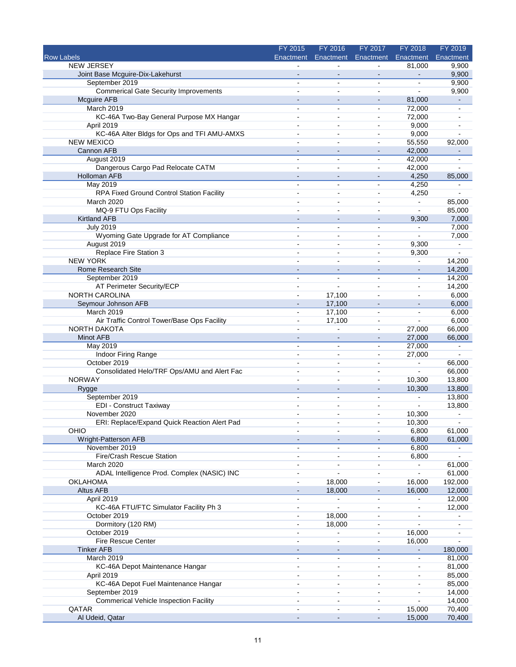|                                               | FY 2015                  | FY 2016                      | FY 2017                      | FY 2018                  | FY 2019                  |
|-----------------------------------------------|--------------------------|------------------------------|------------------------------|--------------------------|--------------------------|
| Row Labels                                    | Enactment                | Enactment                    | Enactment                    | Enactment                | Enactment                |
| <b>NEW JERSEY</b>                             |                          |                              |                              | 81,000                   | 9,900                    |
| Joint Base Mcguire-Dix-Lakehurst              |                          |                              |                              |                          | 9,900                    |
| September 2019                                | $\blacksquare$           | $\blacksquare$               | $\blacksquare$               | $\blacksquare$           | 9,900                    |
| <b>Commerical Gate Security Improvements</b>  |                          | $\sim$                       | $\blacksquare$               |                          | 9,900                    |
| <b>Mcguire AFB</b>                            |                          | $\overline{a}$               | $\blacksquare$               | 81,000                   |                          |
| March 2019                                    | $\blacksquare$           | ۰                            | $\blacksquare$               | 72,000                   | $\overline{\phantom{a}}$ |
| KC-46A Two-Bay General Purpose MX Hangar      | $\overline{\phantom{a}}$ | $\blacksquare$               | $\blacksquare$               | 72,000                   |                          |
| April 2019                                    | $\sim$                   | $\overline{a}$               | $\sim$                       | 9,000                    |                          |
| KC-46A Alter Bldgs for Ops and TFI AMU-AMXS   | $\blacksquare$           | $\blacksquare$               | $\blacksquare$               | 9,000                    |                          |
| <b>NEW MEXICO</b>                             |                          | $\blacksquare$               | $\blacksquare$               | 55,550                   | 92,000                   |
| Cannon AFB                                    |                          | $\sim$                       |                              | 42,000                   |                          |
| August 2019                                   |                          | ÷,                           | $\blacksquare$               | 42,000                   |                          |
| Dangerous Cargo Pad Relocate CATM             |                          | $\overline{a}$               | $\blacksquare$               | 42,000                   |                          |
| Holloman AFB                                  |                          | $\sim$                       | $\overline{\phantom{a}}$     | 4,250                    | 85,000                   |
| May 2019                                      |                          | $\overline{a}$               | $\sim$                       | 4,250                    |                          |
| RPA Fixed Ground Control Station Facility     | $\blacksquare$           | $\blacksquare$               | $\blacksquare$               | 4,250                    |                          |
| <b>March 2020</b>                             |                          | ä,                           | $\blacksquare$               | $\blacksquare$           | 85,000                   |
| MQ-9 FTU Ops Facility                         |                          | ÷.                           | $\overline{a}$               |                          | 85,000                   |
| <b>Kirtland AFB</b>                           |                          | $\blacksquare$               | $\blacksquare$               | 9,300                    | 7,000                    |
| <b>July 2019</b>                              |                          | ۰                            | $\overline{\phantom{a}}$     | $\blacksquare$           | 7,000                    |
| Wyoming Gate Upgrade for AT Compliance        | $\blacksquare$           | $\blacksquare$               | $\blacksquare$               |                          | 7,000                    |
| August 2019                                   | $\overline{a}$           | $\overline{a}$               | $\blacksquare$               | 9,300                    | $\blacksquare$           |
| Replace Fire Station 3                        |                          | $\blacksquare$               | $\blacksquare$               | 9,300                    | ÷.                       |
| <b>NEW YORK</b>                               |                          |                              |                              | $\blacksquare$           | 14,200                   |
| Rome Research Site                            | $\sim$                   | $\sim$                       | $\overline{\phantom{a}}$     | $\sim$                   | 14,200                   |
| September 2019                                | $\sim$                   | $\blacksquare$               | $\blacksquare$               | $\sim$                   | 14,200                   |
| AT Perimeter Security/ECP                     |                          | ÷,                           |                              | $\blacksquare$           | 14,200                   |
| <b>NORTH CAROLINA</b>                         | $\overline{a}$           | 17,100                       | $\sim$                       | ä,                       | 6,000                    |
| Seymour Johnson AFB                           |                          | 17,100                       |                              |                          | 6,000                    |
| March 2019                                    |                          | 17,100                       | L,                           |                          | 6,000                    |
| Air Traffic Control Tower/Base Ops Facility   | $\blacksquare$           | 17,100                       | $\blacksquare$               | ä,                       | 6,000                    |
| NORTH DAKOTA                                  | $\sim$                   |                              | $\blacksquare$               | 27,000                   | 66,000                   |
| Minot AFB                                     |                          |                              |                              | 27,000                   | 66,000                   |
| May 2019                                      | $\sim$                   | $\sim$                       | $\blacksquare$               | 27,000                   | $\blacksquare$           |
| Indoor Firing Range                           | $\blacksquare$           | $\blacksquare$               | $\blacksquare$               | 27,000                   | L.                       |
| October 2019                                  | $\ddot{\phantom{1}}$     | $\overline{a}$               | $\blacksquare$               | $\blacksquare$           | 66,000                   |
| Consolidated Helo/TRF Ops/AMU and Alert Fac   |                          | $\sim$                       | $\blacksquare$               | L.                       | 66,000                   |
| <b>NORWAY</b>                                 |                          | $\blacksquare$               | $\blacksquare$               | 10,300                   | 13,800                   |
| Rygge                                         | $\sim$                   | $\sim$                       | $\overline{\phantom{a}}$     | 10,300                   | 13,800                   |
| September 2019                                |                          | $\blacksquare$               | $\blacksquare$               | $\blacksquare$           | 13,800                   |
| <b>EDI</b> - Construct Taxiway                | $\blacksquare$           | $\blacksquare$               | $\blacksquare$               |                          | 13,800                   |
| November 2020                                 | $\overline{a}$           | $\blacksquare$               | $\sim$                       | 10,300                   | ÷                        |
|                                               |                          |                              |                              |                          |                          |
| ERI: Replace/Expand Quick Reaction Alert Pad  |                          |                              |                              | 10,300                   |                          |
| OHIO                                          | $\overline{\phantom{a}}$ | $\blacksquare$               | $\blacksquare$               | 6,800                    | 61,000                   |
| Wright-Patterson AFB                          |                          |                              |                              | 6,800                    | 61,000                   |
| November 2019                                 |                          | ä,                           |                              | 6,800                    |                          |
| Fire/Crash Rescue Station                     | $\blacksquare$           | ä,                           | $\blacksquare$               | 6,800                    |                          |
| March 2020                                    | $\blacksquare$           | ä,                           | $\overline{\phantom{a}}$     | $\blacksquare$           | 61,000                   |
| ADAL Intelligence Prod. Complex (NASIC) INC   |                          |                              |                              |                          | 61,000                   |
| OKLAHOMA                                      | $\blacksquare$           | 18,000                       | $\blacksquare$               | 16,000                   | 192,000                  |
| <b>Altus AFB</b>                              |                          | 18,000                       |                              | 16,000                   | 12,000                   |
| April 2019                                    |                          |                              |                              |                          | 12,000                   |
| KC-46A FTU/FTC Simulator Facility Ph 3        | $\blacksquare$           | ÷,                           | $\blacksquare$               | $\blacksquare$           | 12,000                   |
| October 2019                                  | $\blacksquare$           | 18,000                       | $\qquad \qquad \blacksquare$ |                          |                          |
| Dormitory (120 RM)                            | $\sim$                   | 18,000                       |                              |                          |                          |
| October 2019                                  | $\blacksquare$           | ÷                            | $\blacksquare$               | 16,000                   |                          |
| Fire Rescue Center                            |                          | ۰                            | $\blacksquare$               | 16,000                   |                          |
| <b>Tinker AFB</b>                             |                          |                              |                              |                          | 180,000                  |
| March 2019                                    |                          | $\blacksquare$               | $\blacksquare$               | ä,                       | 81,000                   |
| KC-46A Depot Maintenance Hangar               | $\blacksquare$           | $\blacksquare$               | $\blacksquare$               | $\overline{\phantom{0}}$ | 81,000                   |
| April 2019                                    | $\blacksquare$           | ä,                           | $\overline{\phantom{a}}$     | ÷                        | 85,000                   |
| KC-46A Depot Fuel Maintenance Hangar          |                          | $\sim$                       |                              |                          | 85,000                   |
| September 2019                                |                          | ä,                           | $\blacksquare$               | ÷,                       | 14,000                   |
| <b>Commerical Vehicle Inspection Facility</b> |                          | $\blacksquare$               |                              |                          | 14,000                   |
| QATAR                                         |                          |                              |                              | 15,000                   | 70,400                   |
| Al Udeid, Qatar                               | $\blacksquare$           | $\qquad \qquad \blacksquare$ | $\blacksquare$               | 15,000                   | 70,400                   |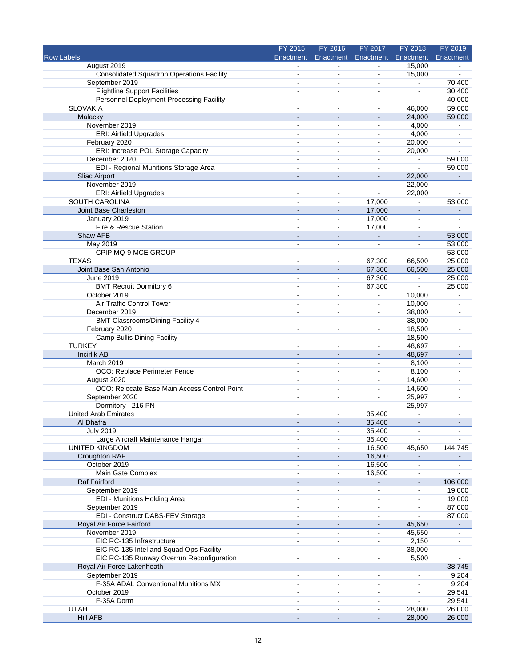|                                                  | FY 2015                  | FY 2016                      | FY 2017                      | FY 2018        | FY 2019        |
|--------------------------------------------------|--------------------------|------------------------------|------------------------------|----------------|----------------|
| <b>Row Labels</b>                                | Enactment                | Enactment                    | Enactment                    | Enactment      | Enactment      |
| August 2019                                      |                          |                              |                              | 15,000         |                |
| <b>Consolidated Squadron Operations Facility</b> |                          | $\blacksquare$               | $\blacksquare$               | 15,000         |                |
| September 2019                                   | $\blacksquare$           | $\sim$                       | $\blacksquare$               | $\blacksquare$ | 70,400         |
| <b>Flightline Support Facilities</b>             | $\blacksquare$           | $\blacksquare$               | $\blacksquare$               | ä,             | 30,400         |
| Personnel Deployment Processing Facility         | $\blacksquare$           | $\overline{a}$               | $\blacksquare$               | ä,             | 40,000         |
| <b>SLOVAKIA</b>                                  |                          | $\sim$                       | $\blacksquare$               | 46,000         | 59,000         |
| Malacky                                          |                          | $\blacksquare$               | $\qquad \qquad \blacksquare$ | 24,000         | 59,000         |
| November 2019                                    | ÷,                       | $\overline{a}$               | $\overline{\phantom{a}}$     | 4,000          |                |
| <b>ERI: Airfield Upgrades</b>                    |                          | $\blacksquare$               |                              | 4,000          |                |
| February 2020                                    | $\blacksquare$           | $\blacksquare$               | $\blacksquare$               | 20,000         |                |
| ERI: Increase POL Storage Capacity               | $\overline{a}$           | $\overline{a}$               | $\blacksquare$               | 20,000         |                |
| December 2020                                    |                          |                              |                              | ä,             | 59,000         |
| EDI - Regional Munitions Storage Area            |                          | $\blacksquare$               | $\blacksquare$               | ÷,             | 59,000         |
| <b>Sliac Airport</b>                             | $\sim$                   | $\overline{a}$               | $\blacksquare$               | 22,000         |                |
| November 2019                                    |                          |                              | $\blacksquare$               | 22,000         |                |
| <b>ERI: Airfield Upgrades</b>                    | $\overline{\phantom{a}}$ | $\blacksquare$               | $\blacksquare$               | 22,000         | ä,             |
| SOUTH CAROLINA                                   | $\blacksquare$           | $\sim$                       | 17,000                       | $\blacksquare$ | 53,000         |
| Joint Base Charleston                            |                          | $\overline{\phantom{a}}$     | 17,000                       |                |                |
| January 2019                                     | $\blacksquare$           | $\blacksquare$               | 17,000                       | $\blacksquare$ | $\blacksquare$ |
| Fire & Rescue Station                            | $\sim$                   | $\blacksquare$               | 17,000                       | $\blacksquare$ | $\mathbf{r}$   |
| Shaw AFB                                         |                          | $\sim$                       | $\blacksquare$               |                | 53,000         |
| May 2019                                         | $\blacksquare$           | $\sim$                       | $\blacksquare$               | $\blacksquare$ | 53,000         |
| CPIP MQ-9 MCE GROUP                              |                          | $\overline{a}$               | ÷                            | L.             | 53,000         |
| <b>TEXAS</b>                                     |                          | $\overline{a}$               | 67,300                       | 66,500         | 25,000         |
| Joint Base San Antonio                           | $\sim$                   | $\sim$                       | 67,300                       | 66,500         | 25,000         |
| June 2019                                        | $\sim$                   | $\overline{\phantom{a}}$     | 67,300                       | $\blacksquare$ | 25,000         |
| <b>BMT Recruit Dormitory 6</b>                   | $\overline{\phantom{a}}$ | $\overline{\phantom{a}}$     | 67,300                       |                | 25,000         |
| October 2019                                     | ÷                        | $\sim$                       | $\blacksquare$               | 10,000         | $\sim$         |
| Air Traffic Control Tower                        |                          | $\blacksquare$               | $\blacksquare$               | 10,000         |                |
| December 2019                                    |                          | $\blacksquare$               | $\blacksquare$               | 38,000         |                |
| <b>BMT Classrooms/Dining Facility 4</b>          |                          | $\blacksquare$               | $\blacksquare$               | 38,000         |                |
| February 2020                                    | $\blacksquare$           | $\blacksquare$               | $\blacksquare$               | 18,500         |                |
| Camp Bullis Dining Facility                      | $\overline{a}$           | $\sim$                       | $\blacksquare$               | 18,500         |                |
| <b>TURKEY</b>                                    |                          |                              | $\blacksquare$               | 48,697         |                |
| <b>Incirlik AB</b>                               |                          |                              | $\blacksquare$               | 48,697         |                |
| March 2019                                       | $\blacksquare$           | $\ddot{\phantom{1}}$         | $\blacksquare$               | 8,100          |                |
| OCO: Replace Perimeter Fence                     |                          |                              | $\blacksquare$               | 8,100          |                |
| August 2020                                      |                          | $\overline{a}$               | $\blacksquare$               | 14,600         |                |
| OCO: Relocate Base Main Access Control Point     | $\overline{a}$           | $\overline{a}$               | $\blacksquare$               | 14,600         |                |
| September 2020                                   |                          | $\blacksquare$               | $\blacksquare$               | 25,997         |                |
| Dormitory - 216 PN                               | $\overline{\phantom{a}}$ | $\overline{\phantom{a}}$     | $\overline{a}$               | 25,997         | $\sim$         |
| <b>United Arab Emirates</b>                      |                          | $\overline{\phantom{a}}$     | 35,400                       | $\blacksquare$ |                |
| Al Dhafra                                        |                          |                              | 35,400                       |                |                |
| <b>July 2019</b>                                 | $\overline{\phantom{a}}$ | $\blacksquare$               | 35,400                       | $\blacksquare$ | $\blacksquare$ |
| Large Aircraft Maintenance Hangar                |                          | $\blacksquare$               | 35,400                       |                |                |
| <b>UNITED KINGDOM</b>                            |                          | $\ddot{\phantom{a}}$         | 16,500                       | 45,650         | 144,745        |
| Croughton RAF                                    |                          |                              | 16,500                       |                |                |
| October 2019                                     | $\blacksquare$           | $\blacksquare$               | 16,500                       | $\blacksquare$ | $\blacksquare$ |
| Main Gate Complex                                |                          | $\blacksquare$               | 16,500                       |                |                |
| <b>Raf Fairford</b>                              |                          | $\blacksquare$               | $\blacksquare$               | $\blacksquare$ | 106,000        |
| September 2019                                   | $\blacksquare$           | $\blacksquare$               | $\blacksquare$               | $\blacksquare$ | 19,000         |
| <b>EDI - Munitions Holding Area</b>              |                          | $\sim$                       | $\blacksquare$               |                | 19,000         |
| September 2019                                   |                          | $\blacksquare$               | $\blacksquare$               |                | 87,000         |
| EDI - Construct DABS-FEV Storage                 | $\blacksquare$           | $\sim$                       | $\blacksquare$               |                | 87,000         |
| Royal Air Force Fairford                         |                          |                              |                              | 45,650         |                |
| November 2019                                    |                          | $\blacksquare$               | $\blacksquare$               | 45,650         |                |
| EIC RC-135 Infrastructure                        | $\blacksquare$           | $\blacksquare$               | $\blacksquare$               | 2,150          |                |
| EIC RC-135 Intel and Squad Ops Facility          | ÷,                       | $\blacksquare$               | $\blacksquare$               | 38,000         |                |
| EIC RC-135 Runway Overrun Reconfiguration        |                          | $\blacksquare$               | $\blacksquare$               |                |                |
|                                                  |                          |                              |                              | 5,500          |                |
| Royal Air Force Lakenheath                       | $\blacksquare$           | $\qquad \qquad \blacksquare$ | $\blacksquare$               |                | 38,745         |
| September 2019                                   | $\sim$                   | $\sim$                       | $\blacksquare$               | $\blacksquare$ | 9,204          |
| F-35A ADAL Conventional Munitions MX             | $\blacksquare$           | $\blacksquare$               | $\blacksquare$               |                | 9,204          |
| October 2019                                     | $\blacksquare$           | $\blacksquare$               | $\blacksquare$               | $\blacksquare$ | 29,541         |
| F-35A Dorm                                       |                          | $\sim$                       | $\blacksquare$               | $\blacksquare$ | 29,541         |
| <b>UTAH</b>                                      |                          |                              |                              | 28,000         | 26,000         |
| <b>Hill AFB</b>                                  | $\blacksquare$           | $\blacksquare$               | $\qquad \qquad \blacksquare$ | 28,000         | 26,000         |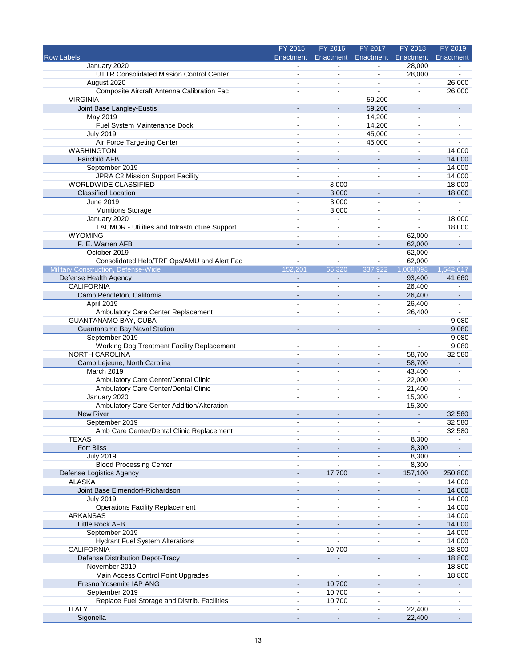|                                                                   | FY 2015                      | FY 2016                          | FY 2017                      | FY 2018                            | FY 2019        |
|-------------------------------------------------------------------|------------------------------|----------------------------------|------------------------------|------------------------------------|----------------|
| <b>Row Labels</b>                                                 | Enactment                    | Enactment                        | Enactment                    | Enactment                          | Enactment      |
| January 2020                                                      |                              |                                  |                              | 28,000                             |                |
| UTTR Consolidated Mission Control Center                          |                              | $\overline{a}$                   | $\blacksquare$               | 28,000                             |                |
| August 2020                                                       | ÷                            | $\overline{a}$                   | ÷.                           | $\blacksquare$                     | 26,000         |
| Composite Aircraft Antenna Calibration Fac                        |                              | $\sim$                           | ÷.                           | ä,                                 | 26,000         |
| <b>VIRGINIA</b>                                                   |                              | $\sim$                           | 59,200                       | ä,                                 |                |
| Joint Base Langley-Eustis                                         |                              | $\sim$                           | 59,200                       | $\blacksquare$                     | $\blacksquare$ |
| May 2019                                                          | $\blacksquare$               | ä,                               | 14,200                       | $\blacksquare$                     | $\blacksquare$ |
| Fuel System Maintenance Dock                                      | $\blacksquare$               | $\sim$                           | 14,200                       | $\sim$                             |                |
| <b>July 2019</b>                                                  | $\blacksquare$               | ä,                               | 45,000                       | $\sim$                             |                |
| Air Force Targeting Center                                        | $\blacksquare$               | $\blacksquare$                   | 45,000                       | $\blacksquare$                     |                |
| <b>WASHINGTON</b>                                                 |                              | $\sim$                           | ÷.                           | $\sim$                             | 14,000         |
| <b>Fairchild AFB</b>                                              |                              | $\sim$                           | $\blacksquare$               | $\blacksquare$                     | 14,000         |
| September 2019                                                    | $\blacksquare$               | $\blacksquare$                   | $\blacksquare$               | $\blacksquare$                     | 14,000         |
| JPRA C2 Mission Support Facility                                  | $\sim$                       | $\blacksquare$                   | $\sim$                       | $\sim$                             | 14,000         |
| WORLDWIDE CLASSIFIED                                              |                              | 3,000                            | $\sim$                       | $\sim$                             | 18,000         |
| <b>Classified Location</b>                                        |                              | 3,000                            | $\blacksquare$               | $\overline{\phantom{a}}$           | 18,000         |
| June 2019                                                         | $\blacksquare$               | 3,000                            | ä,                           | ä,                                 | $\blacksquare$ |
| <b>Munitions Storage</b>                                          |                              | 3,000                            |                              | $\blacksquare$                     |                |
| January 2020                                                      | $\blacksquare$               | ä,                               | $\blacksquare$               | $\blacksquare$                     | 18,000         |
| TACMOR - Utilities and Infrastructure Support                     |                              | ä,                               | $\blacksquare$               | $\overline{\phantom{a}}$           | 18,000         |
| <b>WYOMING</b>                                                    |                              | ÷                                | $\blacksquare$               | 62,000                             |                |
| F. E. Warren AFB                                                  | $\overline{\phantom{a}}$     | $\overline{\phantom{a}}$         | $\overline{\phantom{a}}$     | 62,000                             | $\sim$         |
| October 2019                                                      | ä,                           | ä,                               | $\sim$                       | 62,000                             |                |
| Consolidated Helo/TRF Ops/AMU and Alert Fac                       | ä,                           | ÷                                | $\blacksquare$               | 62,000                             |                |
| <b>Military Construction, Defense-Wide</b>                        | 152.201                      | 65.320                           | 337.922                      | 1,008,093                          | 1,542,617      |
| Defense Health Agency                                             |                              |                                  |                              | 93,400                             | 41,660         |
| <b>CALIFORNIA</b>                                                 | ä,                           | ä,                               | $\blacksquare$               | 26,400                             | $\overline{a}$ |
| Camp Pendleton, California                                        | $\blacksquare$               | $\sim$                           | $\blacksquare$               | 26,400                             | $\blacksquare$ |
| April 2019                                                        |                              | $\sim$                           | $\sim$                       | 26,400                             |                |
|                                                                   | $\blacksquare$               |                                  |                              |                                    |                |
| Ambulatory Care Center Replacement<br><b>GUANTANAMO BAY, CUBA</b> |                              | $\blacksquare$<br>$\blacksquare$ | $\blacksquare$               | 26,400<br>$\overline{\phantom{a}}$ |                |
|                                                                   |                              |                                  | ۰                            |                                    | 9,080          |
| Guantanamo Bay Naval Station                                      |                              | $\blacksquare$                   | $\qquad \qquad \blacksquare$ |                                    | 9,080          |
| September 2019                                                    | $\blacksquare$               | $\sim$                           | $\blacksquare$               | $\blacksquare$                     | 9,080          |
| Working Dog Treatment Facility Replacement                        |                              | ä,                               |                              | L.                                 | 9,080          |
| <b>NORTH CAROLINA</b>                                             |                              | ä,                               | $\blacksquare$               | 58,700                             | 32,580         |
| Camp Lejeune, North Carolina                                      |                              | $\sim$                           | $\sim$                       | 58,700                             |                |
| March 2019                                                        | ä,                           | ÷.                               | $\blacksquare$               | 43,400                             |                |
| Ambulatory Care Center/Dental Clinic                              | $\blacksquare$               | $\blacksquare$                   | $\blacksquare$               | 22,000                             |                |
| Ambulatory Care Center/Dental Clinic                              | $\overline{a}$               | $\blacksquare$                   | $\sim$                       | 21,400                             |                |
| January 2020                                                      |                              | $\blacksquare$                   | $\sim$                       | 15,300                             |                |
| Ambulatory Care Center Addition/Alteration                        | ä,                           | $\blacksquare$                   | $\blacksquare$               | 15,300                             |                |
| New River                                                         |                              | ÷,                               | $\blacksquare$               | $\sim$                             | 32,580         |
| September 2019                                                    |                              |                                  |                              |                                    | 32,580         |
| Amb Care Center/Dental Clinic Replacement                         | $\blacksquare$               | $\blacksquare$                   | $\blacksquare$               | $\blacksquare$                     | 32,580         |
| <b>TEXAS</b>                                                      |                              |                                  |                              | 8,300                              |                |
| <b>Fort Bliss</b>                                                 |                              |                                  |                              | 8,300                              |                |
| <b>July 2019</b>                                                  | $\blacksquare$               | $\sim$                           | $\blacksquare$               | 8,300                              | $\blacksquare$ |
| <b>Blood Processing Center</b>                                    |                              | $\overline{a}$                   | $\blacksquare$               | 8,300                              |                |
| Defense Logistics Agency                                          |                              | 17,700                           |                              | 157,100                            | 250,800        |
| <b>ALASKA</b>                                                     | L.                           | L.                               | $\blacksquare$               | $\blacksquare$                     | 14,000         |
| Joint Base Elmendorf-Richardson                                   |                              | $\qquad \qquad \blacksquare$     | $\blacksquare$               | $\qquad \qquad \blacksquare$       | 14,000         |
| <b>July 2019</b>                                                  |                              |                                  |                              |                                    | 14,000         |
| <b>Operations Facility Replacement</b>                            | ä,                           | $\blacksquare$                   | $\blacksquare$               | $\blacksquare$                     | 14,000         |
| <b>ARKANSAS</b>                                                   | $\blacksquare$               | $\blacksquare$                   | $\blacksquare$               | $\blacksquare$                     | 14,000         |
| Little Rock AFB                                                   |                              |                                  |                              |                                    | 14.000         |
| September 2019                                                    | ä,                           | ä,                               | $\blacksquare$               | $\blacksquare$                     | 14,000         |
| <b>Hydrant Fuel System Alterations</b>                            | ۰                            |                                  | $\blacksquare$               | $\blacksquare$                     | 14,000         |
| <b>CALIFORNIA</b>                                                 | $\blacksquare$               | 10,700                           | $\blacksquare$               | $\blacksquare$                     | 18,800         |
| Defense Distribution Depot-Tracy                                  | $\qquad \qquad \blacksquare$ |                                  | $\sim$                       | $\blacksquare$                     | 18,800         |
| November 2019                                                     | $\blacksquare$               | $\frac{1}{2}$                    | $\blacksquare$               | $\blacksquare$                     | 18,800         |
| Main Access Control Point Upgrades                                | $\blacksquare$               | $\sim$                           | $\blacksquare$               | $\blacksquare$                     | 18,800         |
| Fresno Yosemite IAP ANG                                           |                              | 10,700                           |                              |                                    |                |
| September 2019                                                    | $\blacksquare$               | 10,700                           | $\blacksquare$               | $\blacksquare$                     | $\blacksquare$ |
| Replace Fuel Storage and Distrib. Facilities                      |                              | 10,700                           | $\blacksquare$               | $\blacksquare$                     |                |
| <b>ITALY</b>                                                      |                              |                                  |                              | 22,400                             |                |
| Sigonella                                                         | $\qquad \qquad \blacksquare$ | ÷,                               | $\blacksquare$               | 22,400                             |                |
|                                                                   |                              |                                  |                              |                                    |                |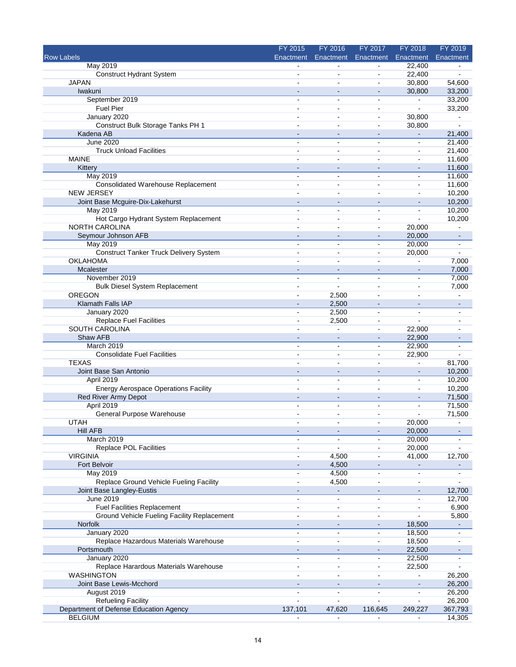|                                             | FY 2015        | FY 2016                  | FY 2017                  | FY 2018                  | FY 2019          |
|---------------------------------------------|----------------|--------------------------|--------------------------|--------------------------|------------------|
| <b>Row Labels</b>                           | Enactment      | Enactment                | Enactment                | Enactment                | Enactment        |
| <b>May 2019</b>                             |                | $\blacksquare$           | $\blacksquare$           | 22,400                   |                  |
| <b>Construct Hydrant System</b>             | $\blacksquare$ | $\sim$                   | $\sim$                   | 22,400                   |                  |
| <b>JAPAN</b>                                |                | $\sim$                   | $\blacksquare$           | 30,800                   | 54,600           |
| Iwakuni                                     |                |                          | $\blacksquare$           | 30,800                   | 33,200           |
| September 2019                              |                | $\sim$                   | $\sim$                   | $\blacksquare$           | 33,200           |
| <b>Fuel Pier</b>                            |                | $\sim$                   |                          |                          | 33,200           |
| January 2020                                |                | $\sim$                   | $\blacksquare$           | 30,800                   | $\blacksquare$   |
| Construct Bulk Storage Tanks PH 1           |                | $\sim$                   | $\blacksquare$           | 30,800                   |                  |
| Kadena AB<br><b>June 2020</b>               | $\overline{a}$ | $\blacksquare$           | $\blacksquare$           | $\blacksquare$           | 21,400<br>21,400 |
| <b>Truck Unload Facilities</b>              | $\blacksquare$ | $\sim$                   | $\blacksquare$           | $\blacksquare$           | 21,400           |
| <b>MAINE</b>                                |                |                          |                          | $\overline{a}$           | 11,600           |
| Kittery                                     |                | $\sim$                   | $\blacksquare$           | $\overline{\phantom{a}}$ | 11,600           |
| <b>May 2019</b>                             |                |                          |                          | $\overline{a}$           | 11,600           |
| <b>Consolidated Warehouse Replacement</b>   |                | $\blacksquare$           |                          |                          | 11,600           |
| <b>NEW JERSEY</b>                           | $\blacksquare$ | $\sim$                   | $\sim$                   | $\blacksquare$           | 10,200           |
| Joint Base Mcguire-Dix-Lakehurst            |                | $\sim$                   | $\sim$                   | $\overline{a}$           | 10,200           |
| May 2019                                    |                |                          |                          |                          | 10,200           |
| Hot Cargo Hydrant System Replacement        | ÷.             | $\overline{a}$           | $\sim$                   | $\overline{a}$           | 10,200           |
| <b>NORTH CAROLINA</b>                       |                | $\tilde{\phantom{a}}$    | $\blacksquare$           | 20,000                   |                  |
| Seymour Johnson AFB                         |                |                          |                          | 20,000                   |                  |
| <b>May 2019</b>                             | $\sim$         | $\sim$                   | $\blacksquare$           | 20,000                   | $\sim$           |
| Construct Tanker Truck Delivery System      |                | $\blacksquare$           | $\blacksquare$           | 20,000                   |                  |
| <b>OKLAHOMA</b>                             |                | $\overline{a}$           | $\sim$                   |                          | 7,000            |
| Mcalester                                   |                |                          |                          | $\blacksquare$           | 7,000            |
| November 2019                               | $\blacksquare$ | $\blacksquare$           | $\blacksquare$           | $\blacksquare$           | 7,000            |
| <b>Bulk Diesel System Replacement</b>       | $\overline{a}$ | $\sim$                   | $\overline{a}$           | $\overline{a}$           | 7,000            |
| OREGON                                      |                | 2,500                    |                          | $\overline{a}$           |                  |
| Klamath Falls IAP                           |                | 2,500                    |                          |                          |                  |
| January 2020                                | $\blacksquare$ | 2,500                    | $\blacksquare$           | $\blacksquare$           |                  |
| <b>Replace Fuel Facilities</b>              |                | 2,500                    | $\sim$                   | $\overline{a}$           |                  |
| SOUTH CAROLINA                              |                | $\sim$                   | $\blacksquare$           | 22,900                   |                  |
| Shaw AFB                                    |                |                          |                          | 22,900                   |                  |
| March 2019                                  | $\blacksquare$ | $\sim$                   | $\blacksquare$           | 22,900                   | $\blacksquare$   |
| <b>Consolidate Fuel Facilities</b>          | $\overline{a}$ | $\sim$                   | $\overline{\phantom{a}}$ | 22,900                   |                  |
| <b>TEXAS</b>                                |                |                          | $\overline{\phantom{a}}$ | $\blacksquare$           | 81,700           |
| Joint Base San Antonio<br>April 2019        | $\sim$         | $\sim$                   | $\blacksquare$           | $\overline{\phantom{a}}$ | 10,200<br>10,200 |
| <b>Energy Aerospace Operations Facility</b> |                |                          | ä,                       | $\blacksquare$           | 10,200           |
| Red River Army Depot                        |                |                          |                          |                          | 71,500           |
| April 2019                                  | $\overline{a}$ | $\sim$                   | $\mathbf{r}$             | ä,                       | 71,500           |
| General Purpose Warehouse                   |                | $\overline{a}$           | $\blacksquare$           | $\overline{a}$           | 71,500           |
| UTAH                                        |                |                          |                          | 20,000                   |                  |
| <b>Hill AFB</b>                             |                |                          |                          | 20,000                   |                  |
| March 2019                                  | $\blacksquare$ | $\blacksquare$           | $\blacksquare$           | 20,000                   |                  |
| Replace POL Facilities                      |                | $\blacksquare$           |                          | 20,000                   | $\blacksquare$   |
| <b>VIRGINIA</b>                             |                | 4,500                    | $\blacksquare$           | 41,000                   | 12,700           |
| Fort Belvoir                                |                | 4,500                    | ٠                        | $\blacksquare$           | $\frac{1}{2}$    |
| <b>May 2019</b>                             | $\blacksquare$ | 4,500                    | $\blacksquare$           | $\blacksquare$           | $\blacksquare$   |
| Replace Ground Vehicle Fueling Facility     | $\overline{a}$ | 4,500                    |                          |                          |                  |
| Joint Base Langley-Eustis                   |                |                          |                          | $\overline{\phantom{m}}$ | 12,700           |
| <b>June 2019</b>                            | $\blacksquare$ | $\sim$                   | $\sim$                   | $\sim$                   | 12,700           |
| <b>Fuel Facilities Replacement</b>          |                | $\blacksquare$           | $\blacksquare$           |                          | 6,900            |
| Ground Vehicle Fueling Facility Replacement | $\overline{a}$ | $\blacksquare$           | $\blacksquare$           | $\overline{a}$           | 5,800            |
| Norfolk                                     |                |                          |                          | 18,500                   |                  |
| January 2020                                |                | $\blacksquare$           |                          | 18,500                   |                  |
| Replace Hazardous Materials Warehouse       | $\overline{a}$ | $\blacksquare$           | $\blacksquare$           | 18,500                   |                  |
| Portsmouth                                  |                | $\blacksquare$           |                          | 22,500                   |                  |
| January 2020                                |                | $\blacksquare$           |                          | 22,500                   |                  |
| Replace Harardous Materials Warehouse       | $\blacksquare$ | $\blacksquare$           | $\blacksquare$           | 22,500                   |                  |
| WASHINGTON                                  |                | $\sim$                   | $\blacksquare$           | $\blacksquare$           | 26,200           |
| Joint Base Lewis-Mcchord                    |                |                          |                          |                          | 26,200           |
| August 2019                                 | $\blacksquare$ | $\blacksquare$           | $\blacksquare$           | $\blacksquare$           | 26,200           |
| <b>Refueling Facility</b>                   | $\blacksquare$ |                          | $\blacksquare$           | $\blacksquare$           | 26,200           |
| Department of Defense Education Agency      | 137,101        | 47,620<br>$\blacksquare$ | 116,645                  | 249,227                  | 367,793          |
| <b>BELGIUM</b>                              | $\blacksquare$ |                          | $\blacksquare$           | $\blacksquare$           | 14,305           |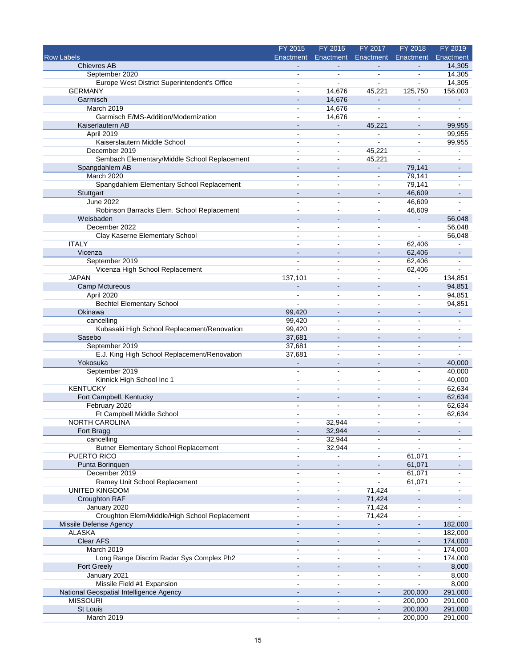|                                               | FY 2015                  | FY 2016                  | FY 2017        | FY 2018                  | FY 2019        |
|-----------------------------------------------|--------------------------|--------------------------|----------------|--------------------------|----------------|
| <b>Row Labels</b>                             | Enactment                | Enactment                | Enactment      | Enactment                | Enactment      |
| <b>Chievres AB</b>                            |                          |                          |                |                          | 14,305         |
| September 2020                                |                          |                          | $\blacksquare$ |                          | 14,305         |
| Europe West District Superintendent's Office  | $\ddot{\phantom{1}}$     | $\overline{a}$           | $\blacksquare$ | $\overline{a}$           | 14,305         |
| <b>GERMANY</b>                                |                          | 14,676                   | 45,221         | 125,750                  | 156,003        |
| Garmisch                                      |                          | 14,676                   |                |                          |                |
| March 2019                                    | $\blacksquare$           | 14,676                   | $\blacksquare$ | $\blacksquare$           | $\blacksquare$ |
| Garmisch E/MS-Addition/Modernization          | $\blacksquare$           | 14,676                   |                | $\blacksquare$           | $\sim$         |
| Kaiserlautern AB                              |                          |                          | 45,221         | $\blacksquare$           | 99,955         |
| April 2019                                    | $\overline{a}$           | $\sim$                   | $\mathbf{r}$   | $\blacksquare$           | 99,955         |
| Kaiserslautern Middle School                  | $\overline{\phantom{a}}$ | $\blacksquare$           | $\blacksquare$ | $\blacksquare$           | 99,955         |
| December 2019                                 |                          | $\sim$                   | 45,221         | $\overline{a}$           |                |
| Sembach Elementary/Middle School Replacement  |                          | ä,                       | 45,221         | $\overline{a}$           |                |
| Spangdahlem AB                                |                          |                          |                | 79,141                   |                |
| March 2020                                    | $\sim$                   | $\sim$                   | $\blacksquare$ | 79,141                   |                |
| Spangdahlem Elementary School Replacement     |                          | $\overline{a}$           | $\mathbf{r}$   | 79,141                   |                |
|                                               |                          |                          |                |                          |                |
| Stuttgart                                     |                          | $\blacksquare$           | $\sim$         | 46,609                   |                |
| <b>June 2022</b>                              |                          | $\overline{a}$           | $\blacksquare$ | 46,609                   |                |
| Robinson Barracks Elem. School Replacement    |                          | $\overline{a}$           | $\sim$         | 46,609                   |                |
| Weisbaden                                     |                          | ä,                       |                |                          | 56,048         |
| December 2022                                 |                          |                          |                | $\overline{\phantom{a}}$ | 56,048         |
| Clay Kaserne Elementary School                |                          | $\blacksquare$           |                |                          | 56,048         |
| <b>ITALY</b>                                  | $\overline{a}$           | $\sim$                   | $\blacksquare$ | 62,406                   |                |
| Vicenza                                       |                          |                          |                | 62,406                   |                |
| September 2019                                |                          |                          |                | 62,406                   |                |
| Vicenza High School Replacement               |                          | $\overline{a}$           | $\overline{a}$ | 62,406                   |                |
| <b>JAPAN</b>                                  | 137,101                  | $\sim$                   | $\blacksquare$ |                          | 134,851        |
| <b>Camp Mctureous</b>                         |                          |                          |                |                          | 94,851         |
| April 2020                                    | $\overline{a}$           | $\sim$                   | $\sim$         | $\sim$                   | 94,851         |
| <b>Bechtel Elementary School</b>              | $\overline{a}$           |                          | $\overline{a}$ | $\sim$                   | 94,851         |
| Okinawa                                       | 99,420                   |                          |                |                          |                |
| cancelling                                    | 99,420                   | $\overline{\phantom{a}}$ | $\blacksquare$ | ÷,                       | $\blacksquare$ |
| Kubasaki High School Replacement/Renovation   | 99,420                   | $\sim$                   | $\sim$         | $\overline{a}$           |                |
| Sasebo                                        | 37,681                   |                          |                |                          |                |
| September 2019                                | 37,681                   | $\blacksquare$           | $\sim$         | $\sim$                   | $\blacksquare$ |
| E.J. King High School Replacement/Renovation  | 37,681                   | $\sim$                   | $\sim$         | $\blacksquare$           | $\blacksquare$ |
| Yokosuka                                      |                          |                          |                | $\overline{a}$           | 40,000         |
| September 2019                                |                          |                          |                | $\blacksquare$           | 40,000         |
| Kinnick High School Inc 1                     |                          | $\overline{a}$           | $\overline{a}$ | $\overline{a}$           | 40,000         |
| <b>KENTUCKY</b>                               | $\overline{a}$           | $\overline{a}$           | $\overline{a}$ | $\sim$                   | 62,634         |
|                                               |                          |                          |                |                          |                |
| Fort Campbell, Kentucky                       |                          |                          |                |                          | 62,634         |
| February 2020                                 | $\overline{\phantom{a}}$ | $\blacksquare$           | $\blacksquare$ | $\blacksquare$           | 62,634         |
| Ft Campbell Middle School                     | $\overline{\phantom{a}}$ | ÷                        | $\sim$         | $\blacksquare$           | 62,634         |
| NORTH CAROLINA                                |                          | 32,944                   |                |                          |                |
| Fort Bragg                                    | $\blacksquare$           | 32,944                   | $\blacksquare$ | $\sim$                   | $\blacksquare$ |
| cancelling                                    |                          | 32,944                   |                |                          |                |
| <b>Butner Elementary School Replacement</b>   |                          | 32,944                   |                |                          |                |
| PUERTO RICO                                   |                          | $\blacksquare$           | $\blacksquare$ | 61,071                   |                |
| Punta Borinquen                               |                          | $\blacksquare$           |                | 61,071                   |                |
| December 2019                                 |                          |                          |                | 61,071                   |                |
| Ramey Unit School Replacement                 | $\blacksquare$           | $\blacksquare$           | $\blacksquare$ | 61,071                   | $\blacksquare$ |
| <b>UNITED KINGDOM</b>                         |                          | $\blacksquare$           | 71,424         |                          |                |
| Croughton RAF                                 |                          |                          | 71,424         |                          |                |
| January 2020                                  | $\blacksquare$           | $\blacksquare$           | 71,424         | $\overline{\phantom{a}}$ |                |
| Croughton Elem/Middle/High School Replacement | $\blacksquare$           | $\blacksquare$           | 71,424         | $\blacksquare$           |                |
| Missile Defense Agency                        |                          |                          |                |                          | 182,000        |
| <b>ALASKA</b>                                 | $\sim$                   | $\blacksquare$           | $\blacksquare$ | ä,                       | 182,000        |
| Clear AFS                                     | $\blacksquare$           | $\blacksquare$           | $\blacksquare$ | $\blacksquare$           | 174,000        |
| March 2019                                    |                          | $\blacksquare$           |                | $\blacksquare$           | 174,000        |
| Long Range Discrim Radar Sys Complex Ph2      |                          | $\blacksquare$           | $\sim$         | $\blacksquare$           | 174,000        |
| <b>Fort Greely</b>                            |                          |                          |                |                          | 8,000          |
| January 2021                                  | $\blacksquare$           | $\blacksquare$           | $\blacksquare$ | $\blacksquare$           | 8,000          |
| Missile Field #1 Expansion                    |                          | $\blacksquare$           | $\blacksquare$ |                          | 8,000          |
|                                               |                          |                          |                |                          |                |
| National Geospatial Intelligence Agency       |                          | $\blacksquare$           | $\blacksquare$ | 200,000                  | 291,000        |
| <b>MISSOURI</b>                               |                          | $\sim$                   | $\blacksquare$ | 200,000                  | 291,000        |
| St Louis                                      |                          |                          |                | 200,000                  | 291,000        |
| March 2019                                    | $\blacksquare$           | $\blacksquare$           | $\blacksquare$ | 200,000                  | 291,000        |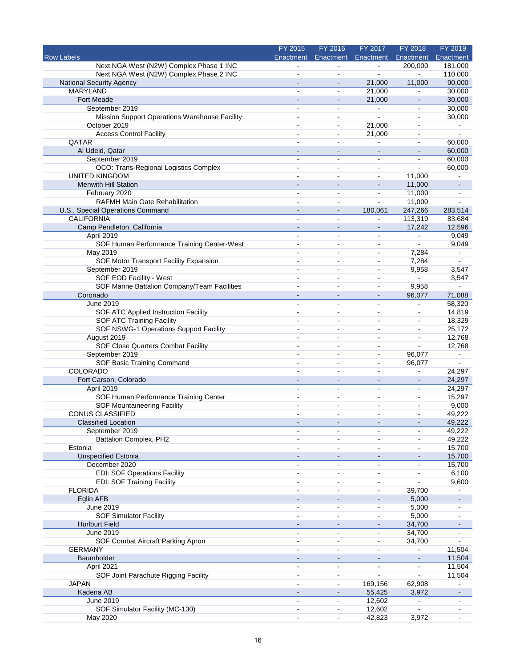|                                                          | FY 2015                  | FY 2016                          | FY 2017                      | FY 2018                      | FY 2019          |
|----------------------------------------------------------|--------------------------|----------------------------------|------------------------------|------------------------------|------------------|
| <b>Row Labels</b>                                        | Enactment                | Enactment                        | Enactment                    | Enactment                    | Enactment        |
| Next NGA West (N2W) Complex Phase 1 INC                  |                          |                                  | $\frac{1}{2}$                | 200,000                      | 181,000          |
| Next NGA West (N2W) Complex Phase 2 INC                  |                          |                                  |                              |                              | 110,000          |
| <b>National Security Agency</b>                          | $\blacksquare$           | $\overline{a}$                   | 21,000                       | 11,000                       | 90,000           |
| <b>MARYLAND</b>                                          |                          | $\blacksquare$                   | 21,000                       | $\overline{a}$               | 30,000           |
| <b>Fort Meade</b><br>September 2019                      | L.                       | $\blacksquare$<br>$\mathbf{r}$   | 21,000<br>÷.                 | $\blacksquare$               | 30,000<br>30,000 |
| Mission Support Operations Warehouse Facility            | $\blacksquare$           | $\overline{a}$                   | ä,                           | $\blacksquare$               | 30,000           |
| October 2019                                             | $\sim$                   | $\overline{a}$                   | 21,000                       | $\sim$                       | $\blacksquare$   |
| <b>Access Control Facility</b>                           | ÷                        | $\blacksquare$                   | 21,000                       | $\overline{a}$               | ä,               |
| QATAR                                                    |                          | $\blacksquare$                   |                              | $\blacksquare$               | 60,000           |
| Al Udeid, Qatar                                          |                          | $\overline{a}$                   | $\qquad \qquad \blacksquare$ |                              | 60,000           |
| September 2019                                           | ä,                       | $\blacksquare$                   | $\blacksquare$               | ä,                           | 60,000           |
| OCO: Trans-Regional Logistics Complex                    | $\blacksquare$           | $\blacksquare$                   | $\blacksquare$               | $\overline{a}$               | 60,000           |
| <b>UNITED KINGDOM</b>                                    | $\overline{a}$           | ä,                               | $\blacksquare$               | 11,000                       |                  |
| Menwith Hill Station                                     | $\blacksquare$           | $\sim$                           | $\overline{\phantom{a}}$     | 11,000                       | $\blacksquare$   |
| February 2020                                            | $\blacksquare$           | $\blacksquare$                   | $\overline{a}$               | 11,000                       | $\blacksquare$   |
| <b>RAFMH Main Gate Rehabilitation</b>                    | $\overline{a}$           | $\overline{a}$                   | $\blacksquare$               | 11,000                       | $\overline{a}$   |
| U.S., Special Operations Command                         | $\blacksquare$           | $\sim$                           | 180,061                      | 247,266                      | 283,514          |
| <b>CALIFORNIA</b>                                        | $\blacksquare$           | $\ddot{\phantom{0}}$             | $\blacksquare$               | 113,319                      | 83,684           |
| Camp Pendleton, California                               | $\blacksquare$           | $\sim$                           | $\blacksquare$               | 17,242                       | 12,596           |
| April 2019                                               | $\blacksquare$           | ÷,                               | ÷,                           | $\blacksquare$               | 9,049            |
| SOF Human Performance Training Center-West               | $\blacksquare$           | $\blacksquare$                   | $\overline{\phantom{a}}$     | $\overline{a}$               | 9,049            |
| May 2019                                                 | ۰                        | $\blacksquare$                   | ۰                            | 7,284                        | ۰                |
| SOF Motor Transport Facility Expansion                   | $\sim$                   | $\blacksquare$                   | $\overline{\phantom{a}}$     | 7,284                        | $\overline{a}$   |
| September 2019                                           | ä,                       | $\blacksquare$                   | $\blacksquare$               | 9,958                        | 3,547            |
| SOF EOD Facility - West                                  |                          | $\blacksquare$                   | $\blacksquare$               | $\blacksquare$               | 3,547            |
| SOF Marine Battalion Company/Team Facilities<br>Coronado | $\overline{\phantom{a}}$ | ä,<br>$\blacksquare$             | ä,<br>$\blacksquare$         | 9,958<br>96,077              | 71,088           |
| June 2019                                                |                          | $\blacksquare$                   | $\blacksquare$               |                              | 58,320           |
| SOF ATC Applied Instruction Facility                     | $\overline{a}$           | $\blacksquare$                   | $\overline{a}$               |                              | 14,819           |
| <b>SOF ATC Training Facility</b>                         | ÷                        | $\overline{a}$                   | ÷.                           | $\blacksquare$               | 18,329           |
| SOF NSWG-1 Operations Support Facility                   |                          | $\ddot{\phantom{a}}$             | $\blacksquare$               | $\blacksquare$               | 25,172           |
| August 2019                                              | $\blacksquare$           | $\sim$                           | $\overline{\phantom{a}}$     | $\blacksquare$               | 12,768           |
| SOF Close Quarters Combat Facility                       | $\blacksquare$           | $\blacksquare$                   | ۰                            | $\overline{a}$               | 12,768           |
| September 2019                                           | $\blacksquare$           | $\overline{a}$                   | $\overline{\phantom{a}}$     | 96,077                       | $\blacksquare$   |
| SOF Basic Training Command                               | $\blacksquare$           | ÷,                               | $\blacksquare$               | 96,077                       | $\blacksquare$   |
| <b>COLORADO</b>                                          |                          |                                  | ä,                           |                              | 24,297           |
| Fort Carson, Colorado                                    | $\blacksquare$           | $\sim$                           | $\qquad \qquad \blacksquare$ | $\blacksquare$               | 24,297           |
| April 2019                                               | $\sim$                   | ä,                               | ÷,                           | $\blacksquare$               | 24,297           |
| SOF Human Performance Training Center                    |                          |                                  |                              | $\blacksquare$               | 15,297           |
| <b>SOF Mountaineering Facility</b>                       |                          | $\overline{a}$                   |                              | $\qquad \qquad \blacksquare$ | 9,000            |
| <b>CONUS CLASSIFIED</b>                                  |                          | $\overline{a}$                   | $\overline{a}$               | $\blacksquare$               | 49,222           |
| <b>Classified Location</b>                               |                          |                                  |                              |                              | 49,222           |
| September 2019                                           | $\blacksquare$           | $\blacksquare$                   | $\blacksquare$               | $\blacksquare$               | 49,222           |
| <b>Battalion Complex, PH2</b>                            |                          |                                  |                              |                              | 49,222           |
| Estonia                                                  |                          | ÷.                               |                              |                              | 15,700           |
| <b>Unspecified Estonia</b>                               |                          | ÷                                | $\overline{\phantom{a}}$     |                              | 15,700           |
| December 2020                                            |                          | $\blacksquare$                   | ۰                            |                              | 15,700           |
| <b>EDI: SOF Operations Facility</b>                      | ä,                       | $\blacksquare$<br>$\blacksquare$ | ä,                           |                              | 6,100            |
| <b>EDI: SOF Training Facility</b><br><b>FLORIDA</b>      |                          |                                  | $\blacksquare$               | 39,700                       | 9,600            |
| Eglin AFB                                                |                          |                                  |                              | 5,000                        |                  |
| June 2019                                                | ä,                       | $\blacksquare$                   | $\blacksquare$               | 5,000                        | $\blacksquare$   |
| <b>SOF Simulator Facility</b>                            | $\blacksquare$           | $\blacksquare$                   | $\overline{\phantom{a}}$     | 5,000                        |                  |
| <b>Hurlburt Field</b>                                    |                          |                                  |                              | 34,700                       |                  |
| June 2019                                                | $\blacksquare$           | $\blacksquare$                   | $\blacksquare$               | 34,700                       | $\blacksquare$   |
| SOF Combat Aircraft Parking Apron                        | $\blacksquare$           | $\overline{a}$                   | $\blacksquare$               | 34,700                       |                  |
| <b>GERMANY</b>                                           |                          | $\blacksquare$                   |                              |                              | 11,504           |
| Baumholder                                               |                          | $\overline{\phantom{a}}$         |                              | $\blacksquare$               | 11,504           |
| April 2021                                               | $\blacksquare$           | $\blacksquare$                   | $\blacksquare$               | $\blacksquare$               | 11,504           |
| SOF Joint Parachute Rigging Facility                     | $\blacksquare$           | $\sim$                           | ä,                           |                              | 11,504           |
| <b>JAPAN</b>                                             |                          | ä,                               | 169,156                      | 62,908                       |                  |
| Kadena AB                                                |                          | $\overline{\phantom{a}}$         | 55,425                       | 3,972                        |                  |
| June 2019                                                | $\blacksquare$           | ۰                                | 12,602                       | $\blacksquare$               |                  |
| SOF Simulator Facility (MC-130)                          |                          |                                  | 12,602                       |                              |                  |
| May 2020                                                 | $\blacksquare$           | $\blacksquare$                   | 42,823                       | 3,972                        |                  |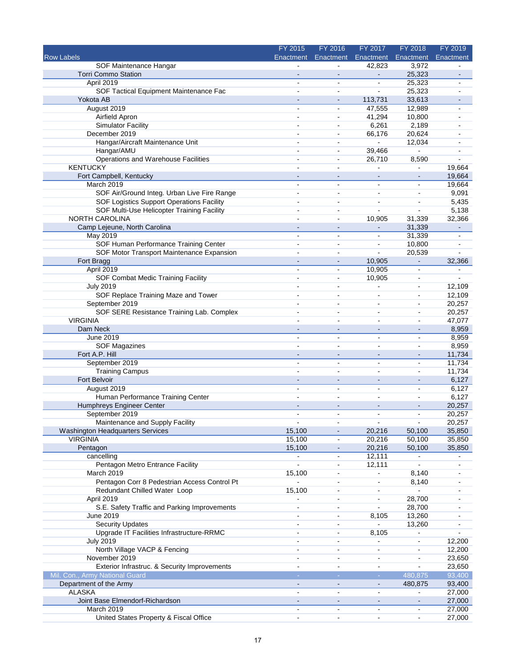|                                              | FY 2015                     | FY 2016                  | FY 2017                  | FY 2018                  | FY 2019                  |
|----------------------------------------------|-----------------------------|--------------------------|--------------------------|--------------------------|--------------------------|
| <b>Row Labels</b>                            | Enactment                   | Enactment                | Enactment                | Enactment                | Enactment                |
| SOF Maintenance Hangar                       |                             |                          | 42,823                   | 3,972                    |                          |
| <b>Torri Commo Station</b>                   |                             |                          | $\blacksquare$           | 25,323                   |                          |
| April 2019                                   | $\blacksquare$              | $\sim$                   | $\blacksquare$           | 25,323                   | $\overline{\phantom{a}}$ |
| SOF Tactical Equipment Maintenance Fac       |                             | $\sim$                   | $\blacksquare$           | 25,323                   |                          |
| Yokota AB                                    |                             | $\blacksquare$           | 113,731                  | 33,613                   |                          |
| August 2019                                  | $\sim$                      | $\sim$                   | 47,555                   | 12,989                   | $\overline{\phantom{a}}$ |
| Airfield Apron                               |                             | $\blacksquare$           | 41,294                   | 10,800                   |                          |
| <b>Simulator Facility</b>                    |                             | $\sim$                   | 6,261                    | 2,189                    |                          |
| December 2019                                | $\overline{a}$              | $\sim$                   | 66,176                   | 20,624                   |                          |
| Hangar/Aircraft Maintenance Unit             |                             | $\overline{\phantom{a}}$ | ÷.                       | 12,034                   |                          |
| Hangar/AMU                                   |                             | $\blacksquare$           | 39,466                   | $\blacksquare$           |                          |
| Operations and Warehouse Facilities          | $\overline{a}$              | $\sim$                   | 26,710                   | 8,590                    |                          |
| <b>KENTUCKY</b>                              | $\ddot{\phantom{1}}$        | $\blacksquare$           | $\blacksquare$           |                          | 19,664                   |
| Fort Campbell, Kentucky                      |                             |                          |                          |                          | 19,664                   |
| March 2019                                   |                             | $\blacksquare$           | $\blacksquare$           | $\blacksquare$           | 19,664                   |
| SOF Air/Ground Integ. Urban Live Fire Range  | $\overline{a}$              | $\blacksquare$           | $\blacksquare$           | $\blacksquare$           | 9,091                    |
| SOF Logistics Support Operations Facility    | $\blacksquare$              | $\sim$                   | $\blacksquare$           | $\blacksquare$           | 5,435                    |
| SOF Multi-Use Helicopter Training Facility   |                             | $\sim$                   | ÷.                       | L.                       | 5,138                    |
| <b>NORTH CAROLINA</b>                        | $\blacksquare$              | $\blacksquare$           | 10,905                   | 31,339                   | 32,366                   |
| Camp Lejeune, North Carolina                 |                             | $\sim$                   | $\blacksquare$           | 31,339                   | $\overline{\phantom{a}}$ |
| <b>May 2019</b>                              |                             | $\sim$                   | $\blacksquare$           | 31,339                   |                          |
| SOF Human Performance Training Center        | $\overline{a}$              | $\sim$                   | $\blacksquare$           | 10,800                   | $\sim$                   |
| SOF Motor Transport Maintenance Expansion    |                             | $\overline{\phantom{a}}$ | $\blacksquare$           | 20,539                   |                          |
| Fort Bragg                                   |                             | $\sim$                   | 10,905                   | $\blacksquare$           | 32,366                   |
| April 2019                                   | $\sim$                      | $\sim$                   | 10,905                   | $\blacksquare$           | $\sim$                   |
| SOF Combat Medic Training Facility           |                             | $\overline{\phantom{a}}$ | 10,905                   | $\blacksquare$           | $\sim$                   |
| <b>July 2019</b>                             |                             |                          |                          |                          | 12,109                   |
| SOF Replace Training Maze and Tower          | $\overline{a}$              | $\blacksquare$           | $\sim$                   | $\sim$                   | 12,109                   |
| September 2019                               |                             |                          |                          | $\overline{a}$           | 20,257                   |
| SOF SERE Resistance Training Lab. Complex    |                             | $\blacksquare$           |                          | $\overline{a}$           | 20,257                   |
| <b>VIRGINIA</b>                              | $\overline{a}$              | $\overline{a}$           | $\sim$                   | ÷,                       | 47,077                   |
| Dam Neck                                     |                             | $\sim$                   |                          |                          | 8,959                    |
| June 2019                                    |                             | $\overline{a}$           |                          | $\blacksquare$           | 8,959                    |
| <b>SOF Magazines</b>                         |                             | $\sim$                   | $\blacksquare$           | $\overline{a}$           | 8,959                    |
| Fort A.P. Hill                               |                             | $\blacksquare$           | $\blacksquare$           | $\overline{\phantom{m}}$ | 11,734                   |
| September 2019                               |                             | $\overline{a}$           | ÷.                       | L,                       | 11,734                   |
| <b>Training Campus</b>                       |                             | $\overline{\phantom{a}}$ | $\overline{\phantom{a}}$ | $\blacksquare$           | 11,734                   |
| Fort Belvoir                                 |                             | $\sim$                   | $\blacksquare$           | $\overline{\phantom{m}}$ | 6,127                    |
| August 2019                                  | $\overline{a}$              | $\overline{\phantom{a}}$ | $\overline{a}$           | $\sim$                   | 6,127                    |
| Human Performance Training Center            |                             |                          |                          | $\overline{a}$           | 6,127                    |
| Humphreys Engineer Center                    |                             |                          |                          |                          | 20,257                   |
| September 2019                               |                             |                          | $\overline{a}$           | $\overline{a}$           | 20,257                   |
| Maintenance and Supply Facility              |                             |                          |                          |                          | 20,257                   |
| <b>Washington Headquarters Services</b>      | 15,100                      | $\blacksquare$           | 20,216                   | 50,100                   | 35,850                   |
| <b>VIRGINIA</b>                              | 15,100                      |                          | 20,216                   | 50,100                   | 35,850                   |
| Pentagon                                     | 15,100                      | $\blacksquare$           | 20,216                   | 50,100                   | 35,850                   |
| cancelling                                   | ۰                           | $\blacksquare$           | 12,111                   |                          |                          |
| Pentagon Metro Entrance Facility             | $\mathcal{L}_{\mathcal{A}}$ | $\blacksquare$           | 12,111                   |                          |                          |
| March 2019                                   | 15,100                      | $\blacksquare$           | $\blacksquare$           | 8,140                    |                          |
| Pentagon Corr 8 Pedestrian Access Control Pt |                             | $\sim$                   | $\blacksquare$           | 8,140                    | $\blacksquare$           |
| Redundant Chilled Water Loop                 | 15,100                      | $\blacksquare$           |                          |                          |                          |
| April 2019                                   |                             | $\blacksquare$           |                          | 28,700                   |                          |
| S.E. Safety Traffic and Parking Improvements | $\overline{a}$              | $\blacksquare$           | $\blacksquare$           | 28,700                   |                          |
| June 2019                                    | $\blacksquare$              | $\blacksquare$           | 8,105                    | 13,260                   |                          |
| <b>Security Updates</b>                      | $\blacksquare$              | $\sim$                   | L.                       | 13,260                   |                          |
| Upgrade IT Facilities Infrastructure-RRMC    | $\overline{a}$              | $\blacksquare$           | 8,105                    | $\blacksquare$           |                          |
| <b>July 2019</b>                             | $\blacksquare$              | $\blacksquare$           |                          | $\frac{1}{2}$            | 12,200                   |
| North Village VACP & Fencing                 | $\overline{\phantom{a}}$    | $\blacksquare$           | $\blacksquare$           |                          | 12,200                   |
| November 2019                                | $\blacksquare$              | $\overline{\phantom{a}}$ | $\blacksquare$           | ÷                        | 23,650                   |
| Exterior Infrastruc. & Security Improvements | $\blacksquare$              | $\blacksquare$           | $\blacksquare$           | ÷                        | 23,650                   |
| Mil. Con., Army National Guard               | $\sim$                      | $\sim$                   | $\sim$                   | 480,875                  | 93,400                   |
| Department of the Army                       |                             | $\blacksquare$           | $\blacksquare$           | 480,875                  | 93,400                   |
| <b>ALASKA</b>                                | $\blacksquare$              | $\blacksquare$           | $\blacksquare$           |                          | 27,000                   |
| Joint Base Elmendorf-Richardson              |                             |                          |                          |                          | 27,000                   |
| March 2019                                   | $\blacksquare$              |                          |                          |                          | 27,000                   |
| United States Property & Fiscal Office       | $\blacksquare$              | $\blacksquare$           | $\blacksquare$           | $\blacksquare$           | 27,000                   |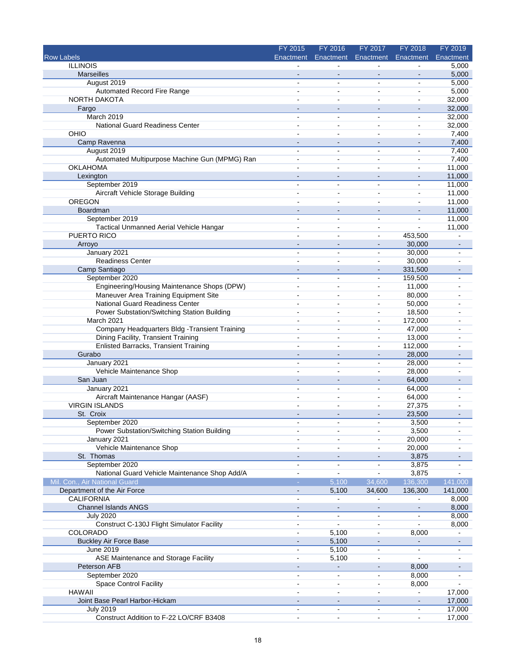|                                                | FY 2015                          | FY 2016                      | FY 2017                      | FY 2018                          | FY 2019                  |
|------------------------------------------------|----------------------------------|------------------------------|------------------------------|----------------------------------|--------------------------|
| <b>Row Labels</b>                              | Enactment                        | Enactment                    | Enactment                    | Enactment                        | Enactment                |
| <b>ILLINOIS</b>                                |                                  |                              |                              |                                  | 5,000                    |
| Marseilles                                     |                                  |                              | $\blacksquare$               |                                  | 5,000                    |
| August 2019                                    | $\blacksquare$                   | ä,                           | ä,                           | $\overline{a}$                   | 5,000                    |
| Automated Record Fire Range                    | $\blacksquare$                   | $\blacksquare$               | $\blacksquare$               | $\blacksquare$                   | 5,000                    |
| NORTH DAKOTA                                   |                                  | $\overline{a}$               | $\overline{a}$               | $\overline{a}$                   | 32,000                   |
| Fargo                                          |                                  | $\blacksquare$               |                              | $\blacksquare$                   | 32,000                   |
| March 2019<br>National Guard Readiness Center  | $\blacksquare$<br>$\overline{a}$ | ä,<br>÷                      | ÷<br>٠                       | $\blacksquare$<br>$\overline{a}$ | 32,000                   |
| OHIO                                           |                                  |                              |                              |                                  | 32,000<br>7,400          |
| Camp Ravenna                                   | $\blacksquare$                   | -                            | -                            |                                  | 7,400                    |
| August 2019                                    | $\overline{a}$                   | ÷                            | $\sim$                       | $\overline{a}$                   | 7,400                    |
| Automated Multipurpose Machine Gun (MPMG) Ran  |                                  | $\blacksquare$               | $\blacksquare$               | $\blacksquare$                   | 7,400                    |
| <b>OKLAHOMA</b>                                | ä,                               | $\blacksquare$               | $\sim$                       | $\ddot{\phantom{a}}$             | 11,000                   |
| Lexington                                      |                                  | $\overline{\phantom{a}}$     |                              |                                  | 11,000                   |
| September 2019                                 | ÷                                | $\overline{a}$               | $\blacksquare$               | ä,                               | 11,000                   |
| Aircraft Vehicle Storage Building              | ۰                                | $\blacksquare$               | $\blacksquare$               | $\blacksquare$                   | 11,000                   |
| <b>OREGON</b>                                  |                                  |                              | ä,                           | $\blacksquare$                   | 11,000                   |
| Boardman                                       |                                  |                              |                              |                                  | 11,000                   |
| September 2019                                 | $\blacksquare$                   | ä,                           | ä,                           | $\blacksquare$                   | 11,000                   |
| Tactical Unmanned Aerial Vehicle Hangar        |                                  | $\blacksquare$               | $\blacksquare$               |                                  | 11,000                   |
| PUERTO RICO                                    |                                  | ä,                           | ۰                            | 453,500                          |                          |
| Arroyo                                         | $\overline{\phantom{a}}$         | $\sim$                       | $\sim$                       | 30,000                           | $\sim$                   |
| January 2021                                   | $\overline{\phantom{a}}$         | $\overline{\phantom{a}}$     | $\qquad \qquad \blacksquare$ | 30,000                           |                          |
| <b>Readiness Center</b>                        | $\sim$                           | $\blacksquare$               | $\blacksquare$               | 30,000                           |                          |
| Camp Santiago                                  |                                  | $\overline{\phantom{a}}$     | $\overline{\phantom{a}}$     | 331,500                          |                          |
| September 2020                                 | ۰                                | $\overline{\phantom{a}}$     | $\blacksquare$               | 159,500                          | $\overline{a}$           |
| Engineering/Housing Maintenance Shops (DPW)    | $\sim$                           | $\blacksquare$               | $\blacksquare$               | 11,000                           |                          |
| Maneuver Area Training Equipment Site          | $\sim$                           | $\blacksquare$               | $\blacksquare$               | 80,000                           |                          |
| National Guard Readiness Center                | $\blacksquare$                   | $\blacksquare$               | $\overline{\phantom{0}}$     | 50,000                           |                          |
| Power Substation/Switching Station Building    | $\blacksquare$                   | $\blacksquare$               | $\blacksquare$               | 18,500                           |                          |
| March 2021                                     |                                  |                              | ä,                           | 172,000                          |                          |
| Company Headquarters Bldg - Transient Training | $\overline{a}$                   | ۰                            | ۰                            | 47,000                           |                          |
| Dining Facility, Transient Training            | $\blacksquare$                   | $\blacksquare$               | ۰                            | 13,000                           |                          |
| <b>Enlisted Barracks, Transient Training</b>   |                                  |                              | $\blacksquare$               | 112,000                          |                          |
| Gurabo                                         | $\blacksquare$                   | $\blacksquare$               | $\overline{\phantom{a}}$     | 28,000                           |                          |
| January 2021                                   |                                  | ۰                            | ۰                            | 28,000                           |                          |
| Vehicle Maintenance Shop                       |                                  | $\blacksquare$               | ۰                            | 28,000                           |                          |
| San Juan                                       | $\sim$                           | $\qquad \qquad \blacksquare$ | $\overline{\phantom{a}}$     | 64,000                           |                          |
| January 2021                                   | $\blacksquare$                   | ä,                           | ۰                            | 64,000                           |                          |
| Aircraft Maintenance Hangar (AASF)             |                                  |                              |                              | 64,000                           |                          |
| <b>VIRGIN ISLANDS</b>                          | $\sim$                           | ä,                           | ä,                           | 27,375                           |                          |
| St. Croix                                      |                                  |                              | $\overline{a}$               | 23,500                           |                          |
| September 2020                                 |                                  |                              |                              | 3,500                            |                          |
| Power Substation/Switching Station Building    | $\blacksquare$                   | $\blacksquare$               | $\blacksquare$               | 3,500                            | $\blacksquare$           |
| January 2021                                   |                                  |                              | ۰                            | 20,000                           |                          |
| Vehicle Maintenance Shop                       |                                  | ä,                           | ۰                            | 20,000                           |                          |
| St. Thomas                                     | $\blacksquare$                   | $\sim$                       | $\qquad \qquad \blacksquare$ | 3,875                            |                          |
| September 2020                                 | $\blacksquare$                   | ۰                            | ٠                            | 3,875                            |                          |
| National Guard Vehicle Maintenance Shop Add/A  | $\blacksquare$                   |                              |                              | 3,875                            |                          |
| Mil. Con., Air National Guard                  | ÷.                               | 5,100                        | 34,600                       | 136,300                          | 141,000                  |
| Department of the Air Force                    | $\blacksquare$                   | 5,100                        | 34,600                       | 136,300                          | 141,000                  |
| <b>CALIFORNIA</b>                              | $\sim$                           | ÷,                           | ä,                           |                                  | 8,000                    |
| <b>Channel Islands ANGS</b>                    | $\blacksquare$                   |                              | $\blacksquare$               |                                  | 8,000                    |
| <b>July 2020</b>                               | $\blacksquare$                   | $\blacksquare$               | $\blacksquare$               | $\blacksquare$                   | 8,000                    |
| Construct C-130J Flight Simulator Facility     | $\sim$                           | ä,                           | ä,                           | $\overline{a}$                   | 8,000                    |
| COLORADO                                       |                                  | 5,100                        | $\blacksquare$               | 8,000                            |                          |
| <b>Buckley Air Force Base</b>                  |                                  | 5,100                        |                              |                                  |                          |
| June 2019                                      | $\blacksquare$                   | 5,100                        | $\blacksquare$               | $\blacksquare$                   | $\overline{\phantom{a}}$ |
| ASE Maintenance and Storage Facility           | $\overline{\phantom{a}}$         | 5,100                        | ä,                           | $\blacksquare$                   |                          |
| Peterson AFB                                   | $\blacksquare$                   | $\blacksquare$               |                              | 8,000                            |                          |
| September 2020                                 | $\overline{a}$                   | ä,                           | ٠                            | 8,000                            | $\blacksquare$           |
| <b>Space Control Facility</b>                  | $\blacksquare$                   | ä,                           |                              | 8,000                            |                          |
| <b>HAWAII</b>                                  | $\blacksquare$                   | $\blacksquare$               | ÷                            |                                  | 17,000                   |
| Joint Base Pearl Harbor-Hickam                 |                                  | $\qquad \qquad \blacksquare$ | $\overline{\phantom{a}}$     |                                  | 17,000                   |
| <b>July 2019</b>                               | ۰                                | ÷                            |                              |                                  | 17,000                   |
| Construct Addition to F-22 LO/CRF B3408        | $\ddot{\phantom{a}}$             | ä,                           | ÷,                           | L,                               | 17,000                   |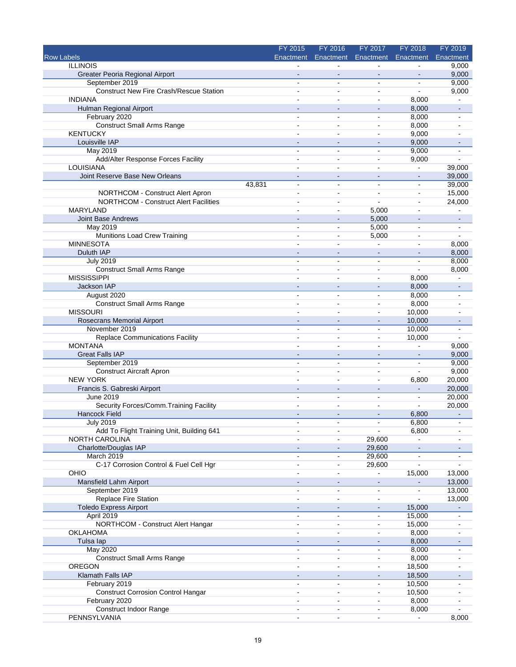|                                                | FY 2015        | FY 2016                      | FY 2017                      | FY 2018        | FY 2019                                                                                                                                                                                                                                                                                                                                                                                                                                |
|------------------------------------------------|----------------|------------------------------|------------------------------|----------------|----------------------------------------------------------------------------------------------------------------------------------------------------------------------------------------------------------------------------------------------------------------------------------------------------------------------------------------------------------------------------------------------------------------------------------------|
| Row Labels                                     | Enactment      | Enactment                    | Enactment                    | Enactment      | Enactment                                                                                                                                                                                                                                                                                                                                                                                                                              |
| <b>ILLINOIS</b>                                |                |                              |                              |                | 9,000                                                                                                                                                                                                                                                                                                                                                                                                                                  |
| Greater Peoria Regional Airport                |                |                              |                              |                | 9,000                                                                                                                                                                                                                                                                                                                                                                                                                                  |
| September 2019                                 | $\overline{a}$ | $\overline{a}$               | $\blacksquare$               | $\overline{a}$ | 9,000                                                                                                                                                                                                                                                                                                                                                                                                                                  |
| <b>Construct New Fire Crash/Rescue Station</b> | $\overline{a}$ | ۰                            | $\overline{\phantom{a}}$     |                | 9,000                                                                                                                                                                                                                                                                                                                                                                                                                                  |
| <b>INDIANA</b>                                 |                | ä,                           | $\blacksquare$               | 8,000          |                                                                                                                                                                                                                                                                                                                                                                                                                                        |
| Hulman Regional Airport                        |                | $\sim$                       | $\overline{\phantom{a}}$     | 8,000          | $\blacksquare$                                                                                                                                                                                                                                                                                                                                                                                                                         |
| February 2020                                  | $\blacksquare$ | $\blacksquare$               | $\overline{\phantom{a}}$     | 8,000          | $\blacksquare$                                                                                                                                                                                                                                                                                                                                                                                                                         |
| <b>Construct Small Arms Range</b>              | $\sim$         | $\blacksquare$               | $\blacksquare$               | 8,000          |                                                                                                                                                                                                                                                                                                                                                                                                                                        |
| <b>KENTUCKY</b>                                |                | ä,                           | ÷,                           | 9,000          |                                                                                                                                                                                                                                                                                                                                                                                                                                        |
| Louisville IAP                                 | $\blacksquare$ | $\blacksquare$               | $\overline{\phantom{m}}$     | 9,000          |                                                                                                                                                                                                                                                                                                                                                                                                                                        |
| <b>May 2019</b>                                | $\overline{a}$ | $\overline{\phantom{a}}$     | $\blacksquare$               | 9,000          |                                                                                                                                                                                                                                                                                                                                                                                                                                        |
| Add/Alter Response Forces Facility             |                | $\blacksquare$               | $\blacksquare$               | 9,000          |                                                                                                                                                                                                                                                                                                                                                                                                                                        |
| LOUISIANA                                      |                | $\blacksquare$               | $\overline{a}$               | ä,             | 39,000                                                                                                                                                                                                                                                                                                                                                                                                                                 |
| Joint Reserve Base New Orleans                 |                | $\overline{a}$               | $\sim$                       | $\sim$         | 39,000                                                                                                                                                                                                                                                                                                                                                                                                                                 |
| 43,831                                         | $\blacksquare$ | $\blacksquare$               | ä,                           | $\blacksquare$ | 39,000                                                                                                                                                                                                                                                                                                                                                                                                                                 |
| NORTHCOM - Construct Alert Apron               | $\blacksquare$ | ä,                           | ä,                           | $\blacksquare$ | 15,000                                                                                                                                                                                                                                                                                                                                                                                                                                 |
| <b>NORTHCOM - Construct Alert Facilities</b>   | $\blacksquare$ | ä,                           | $\blacksquare$               | $\blacksquare$ | 24,000                                                                                                                                                                                                                                                                                                                                                                                                                                 |
| <b>MARYLAND</b>                                |                | ÷.                           | 5,000                        | $\overline{a}$ |                                                                                                                                                                                                                                                                                                                                                                                                                                        |
| <b>Joint Base Andrews</b>                      |                | $\blacksquare$               | 5,000                        | $\blacksquare$ | $\blacksquare$                                                                                                                                                                                                                                                                                                                                                                                                                         |
| May 2019                                       |                | ä,                           | 5,000                        | $\blacksquare$ | ۰                                                                                                                                                                                                                                                                                                                                                                                                                                      |
|                                                |                |                              |                              |                | ÷                                                                                                                                                                                                                                                                                                                                                                                                                                      |
| Munitions Load Crew Training                   |                | $\blacksquare$               | 5,000                        | $\blacksquare$ |                                                                                                                                                                                                                                                                                                                                                                                                                                        |
| <b>MINNESOTA</b>                               | $\overline{a}$ | $\blacksquare$               | $\bar{\phantom{a}}$          | $\overline{a}$ | 8,000                                                                                                                                                                                                                                                                                                                                                                                                                                  |
| Duluth IAP                                     |                | ÷,                           | $\overline{\phantom{m}}$     |                | 8,000                                                                                                                                                                                                                                                                                                                                                                                                                                  |
| <b>July 2019</b>                               |                |                              | $\blacksquare$               |                | 8,000                                                                                                                                                                                                                                                                                                                                                                                                                                  |
| <b>Construct Small Arms Range</b>              | ÷              | $\overline{a}$               | $\blacksquare$               | $\overline{a}$ | 8,000                                                                                                                                                                                                                                                                                                                                                                                                                                  |
| <b>MISSISSIPPI</b>                             |                | $\overline{a}$               | $\blacksquare$               | 8,000          |                                                                                                                                                                                                                                                                                                                                                                                                                                        |
| Jackson IAP                                    |                |                              |                              | 8,000          |                                                                                                                                                                                                                                                                                                                                                                                                                                        |
| August 2020                                    | $\blacksquare$ | $\sim$                       | $\blacksquare$               | 8,000          | $\blacksquare$                                                                                                                                                                                                                                                                                                                                                                                                                         |
| <b>Construct Small Arms Range</b>              |                | $\blacksquare$               | $\blacksquare$               | 8,000          |                                                                                                                                                                                                                                                                                                                                                                                                                                        |
| <b>MISSOURI</b>                                |                | ä,                           | ä,                           | 10,000         |                                                                                                                                                                                                                                                                                                                                                                                                                                        |
| Rosecrans Memorial Airport                     |                | $\qquad \qquad \blacksquare$ | $\overline{a}$               | 10,000         |                                                                                                                                                                                                                                                                                                                                                                                                                                        |
| November 2019                                  | $\blacksquare$ | ۰                            | ۰                            | 10,000         | $\overline{a}$                                                                                                                                                                                                                                                                                                                                                                                                                         |
| <b>Replace Communications Facility</b>         | $\overline{a}$ | $\sim$                       | $\blacksquare$               | 10,000         |                                                                                                                                                                                                                                                                                                                                                                                                                                        |
| <b>MONTANA</b>                                 |                | $\overline{a}$               | ä,                           |                | 9,000                                                                                                                                                                                                                                                                                                                                                                                                                                  |
| <b>Great Falls IAP</b>                         |                | $\qquad \qquad \blacksquare$ | ÷                            |                | 9,000                                                                                                                                                                                                                                                                                                                                                                                                                                  |
| September 2019                                 | $\sim$         | $\blacksquare$               | $\overline{\phantom{a}}$     | $\blacksquare$ | 9,000                                                                                                                                                                                                                                                                                                                                                                                                                                  |
| <b>Construct Aircraft Apron</b>                |                | ä,                           | $\blacksquare$               | $\overline{a}$ | 9,000                                                                                                                                                                                                                                                                                                                                                                                                                                  |
| <b>NEW YORK</b>                                | $\sim$         | $\sim$                       | $\overline{\phantom{a}}$     | 6,800          | 20,000                                                                                                                                                                                                                                                                                                                                                                                                                                 |
| Francis S. Gabreski Airport                    | $\sim$         | $\sim$                       | $\blacksquare$               |                | 20,000                                                                                                                                                                                                                                                                                                                                                                                                                                 |
| <b>June 2019</b>                               |                | ä,                           | $\overline{a}$               | ä,             | 20,000                                                                                                                                                                                                                                                                                                                                                                                                                                 |
|                                                | $\blacksquare$ | $\overline{a}$               | ä,                           | ä,             | 20,000                                                                                                                                                                                                                                                                                                                                                                                                                                 |
| Security Forces/Comm. Training Facility        |                | $\overline{a}$               |                              |                |                                                                                                                                                                                                                                                                                                                                                                                                                                        |
| <b>Hancock Field</b>                           |                |                              | $\overline{\phantom{m}}$     | 6,800          | $\frac{1}{2}$                                                                                                                                                                                                                                                                                                                                                                                                                          |
| <b>July 2019</b>                               |                |                              |                              | 6,800          |                                                                                                                                                                                                                                                                                                                                                                                                                                        |
| Add To Flight Training Unit, Building 641      | $\overline{a}$ | $\blacksquare$               | $\blacksquare$               | 6,800          | $\blacksquare$                                                                                                                                                                                                                                                                                                                                                                                                                         |
| NORTH CAROLINA                                 |                |                              | 29,600                       | $\blacksquare$ |                                                                                                                                                                                                                                                                                                                                                                                                                                        |
| Charlotte/Douglas IAP                          |                |                              | 29,600                       |                |                                                                                                                                                                                                                                                                                                                                                                                                                                        |
| March 2019                                     | $\blacksquare$ | ä,                           | 29,600                       |                |                                                                                                                                                                                                                                                                                                                                                                                                                                        |
| C-17 Corrosion Control & Fuel Cell Hgr         | $\overline{a}$ | $\blacksquare$               | 29,600                       |                |                                                                                                                                                                                                                                                                                                                                                                                                                                        |
| OHIO                                           |                | ۰                            | $\blacksquare$               | 15,000         | 13,000                                                                                                                                                                                                                                                                                                                                                                                                                                 |
| Mansfield Lahm Airport                         | $\sim$         | $\blacksquare$               | ٠                            |                | 13,000                                                                                                                                                                                                                                                                                                                                                                                                                                 |
| September 2019                                 | $\blacksquare$ | $\blacksquare$               | ۰                            | $\blacksquare$ | 13,000                                                                                                                                                                                                                                                                                                                                                                                                                                 |
| Replace Fire Station                           | $\blacksquare$ | $\blacksquare$               | $\blacksquare$               |                | 13,000                                                                                                                                                                                                                                                                                                                                                                                                                                 |
| <b>Toledo Express Airport</b>                  | $\sim$         | $\blacksquare$               | $\blacksquare$               | 15,000         | $\frac{1}{2} \int_{0}^{2\pi} \frac{1}{2} \left( \frac{1}{2} \frac{1}{2} \right) \left( \frac{1}{2} \frac{1}{2} \right) \left( \frac{1}{2} \frac{1}{2} \right) \left( \frac{1}{2} \frac{1}{2} \right) \left( \frac{1}{2} \frac{1}{2} \right) \left( \frac{1}{2} \frac{1}{2} \right) \left( \frac{1}{2} \frac{1}{2} \right) \left( \frac{1}{2} \frac{1}{2} \right) \left( \frac{1}{2} \frac{1}{2} \right) \left( \frac{1}{2} \frac{1}{2$ |
| April 2019                                     | $\sim$         | $\blacksquare$               | $\blacksquare$               | 15,000         | ä,                                                                                                                                                                                                                                                                                                                                                                                                                                     |
| NORTHCOM - Construct Alert Hangar              | $\overline{a}$ | $\blacksquare$               | $\overline{a}$               | 15,000         |                                                                                                                                                                                                                                                                                                                                                                                                                                        |
| <b>OKLAHOMA</b>                                |                | ÷                            | $\overline{a}$               | 8,000          |                                                                                                                                                                                                                                                                                                                                                                                                                                        |
| Tulsa lap                                      | $\blacksquare$ | $\frac{1}{2}$                | $\qquad \qquad \blacksquare$ | 8,000          |                                                                                                                                                                                                                                                                                                                                                                                                                                        |
| May 2020                                       | $\blacksquare$ | $\blacksquare$               | $\blacksquare$               | 8,000          |                                                                                                                                                                                                                                                                                                                                                                                                                                        |
| <b>Construct Small Arms Range</b>              |                | ä,                           |                              | 8,000          |                                                                                                                                                                                                                                                                                                                                                                                                                                        |
| OREGON                                         | $\overline{a}$ | $\blacksquare$               | ۰                            | 18,500         |                                                                                                                                                                                                                                                                                                                                                                                                                                        |
| Klamath Falls IAP                              |                | $\blacksquare$               | $\blacksquare$               | 18,500         |                                                                                                                                                                                                                                                                                                                                                                                                                                        |
|                                                | $\blacksquare$ | $\sim$                       |                              |                |                                                                                                                                                                                                                                                                                                                                                                                                                                        |
| February 2019                                  |                |                              | $\blacksquare$               | 10,500         |                                                                                                                                                                                                                                                                                                                                                                                                                                        |
| <b>Construct Corrosion Control Hangar</b>      | $\blacksquare$ | ä,                           | $\blacksquare$               | 10,500         | $\blacksquare$                                                                                                                                                                                                                                                                                                                                                                                                                         |
| February 2020                                  |                | ä,                           |                              | 8,000          |                                                                                                                                                                                                                                                                                                                                                                                                                                        |
| Construct Indoor Range                         |                | ۰                            |                              | 8,000          |                                                                                                                                                                                                                                                                                                                                                                                                                                        |
| PENNSYLVANIA                                   | $\blacksquare$ | ä,                           | $\blacksquare$               | $\blacksquare$ | 8,000                                                                                                                                                                                                                                                                                                                                                                                                                                  |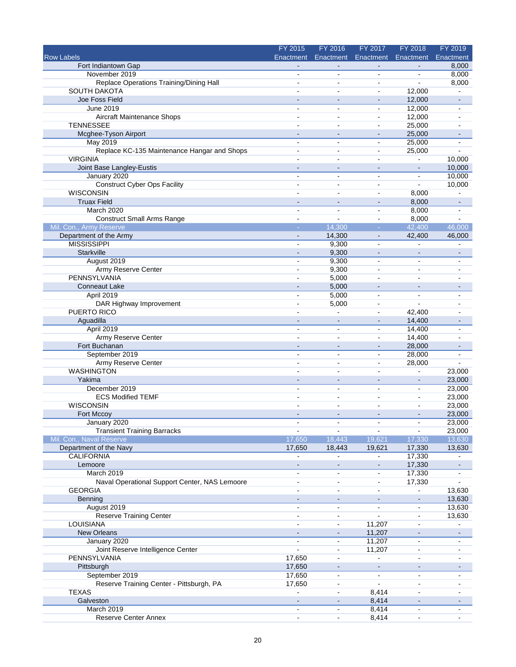|                                               | FY 2015                  | FY 2016                          | FY 2017                       | FY 2018                      | FY 2019                  |
|-----------------------------------------------|--------------------------|----------------------------------|-------------------------------|------------------------------|--------------------------|
| <b>Row Labels</b>                             | Enactment                |                                  | Enactment Enactment Enactment |                              | Enactment                |
| Fort Indiantown Gap                           |                          |                                  |                               |                              | 8,000                    |
| November 2019                                 |                          |                                  | ä,                            |                              | 8,000                    |
| Replace Operations Training/Dining Hall       | $\blacksquare$           | $\sim$                           | $\sim$                        |                              | 8,000                    |
| <b>SOUTH DAKOTA</b>                           |                          | $\overline{a}$                   | $\blacksquare$                | 12,000                       |                          |
| Joe Foss Field                                |                          | ä,                               |                               | 12,000                       |                          |
| June 2019                                     | $\blacksquare$           | ٠                                | $\blacksquare$                | 12,000                       | $\overline{\phantom{a}}$ |
| Aircraft Maintenance Shops                    |                          | $\blacksquare$                   | $\blacksquare$                | 12,000                       |                          |
| <b>TENNESSEE</b>                              | $\overline{a}$           | $\overline{a}$                   | $\blacksquare$                | 25,000                       |                          |
| Mcghee-Tyson Airport                          |                          |                                  |                               | 25,000                       |                          |
| May 2019                                      | $\overline{\phantom{a}}$ | $\blacksquare$                   | $\blacksquare$                | 25,000                       | $\blacksquare$           |
| Replace KC-135 Maintenance Hangar and Shops   | $\sim$                   | $\blacksquare$                   | $\sim$                        | 25,000                       |                          |
| <b>VIRGINIA</b>                               |                          | $\overline{a}$                   |                               | $\overline{a}$               | 10,000                   |
| Joint Base Langley-Eustis                     |                          | $\overline{\phantom{a}}$         | $\blacksquare$                |                              | 10,000                   |
| January 2020                                  | $\overline{a}$           | ÷                                | $\sim$                        | $\blacksquare$               | 10,000                   |
| <b>Construct Cyber Ops Facility</b>           |                          | $\overline{a}$                   | $\overline{a}$                | ÷.                           | 10,000                   |
| <b>WISCONSIN</b>                              |                          | $\blacksquare$                   | $\blacksquare$                | 8,000                        |                          |
| <b>Truax Field</b>                            |                          | $\overline{a}$                   |                               | 8,000                        |                          |
| March 2020                                    |                          |                                  | $\blacksquare$                | 8,000                        |                          |
| <b>Construct Small Arms Range</b>             | $\overline{a}$           | $\overline{a}$                   | $\blacksquare$                | 8,000                        | $\blacksquare$           |
| Mil. Con., Army Reserve                       |                          | 14,300                           |                               | 42,400                       | 46,000                   |
| Department of the Army                        |                          | 14,300                           |                               | 42,400                       | 46,000                   |
| <b>MISSISSIPPI</b>                            | $\blacksquare$           | 9,300                            | $\blacksquare$                | $\overline{\phantom{a}}$     | $\blacksquare$           |
| Starkville                                    |                          |                                  |                               | $\blacksquare$               | $\overline{a}$           |
|                                               |                          | 9,300                            | $\blacksquare$                |                              |                          |
| August 2019                                   |                          | 9,300                            |                               |                              |                          |
| <b>Army Reserve Center</b>                    | $\ddot{\phantom{1}}$     | 9,300                            | $\overline{a}$                | $\overline{a}$               | $\blacksquare$           |
| PENNSYLVANIA                                  |                          | 5,000                            |                               | $\overline{a}$               |                          |
| Conneaut Lake                                 |                          | 5,000                            |                               |                              |                          |
| April 2019                                    | $\sim$                   | 5,000                            | $\blacksquare$                | $\mathbf{r}$                 | $\sim$                   |
| DAR Highway Improvement                       | $\blacksquare$           | 5,000                            | $\sim$                        | ÷.                           |                          |
| PUERTO RICO                                   |                          |                                  | $\sim$                        | 42,400                       |                          |
| Aguadilla                                     |                          | $\overline{\phantom{a}}$         | $\sim$                        | 14,400                       |                          |
| April 2019                                    | $\overline{\phantom{a}}$ | $\sim$                           | $\blacksquare$                | 14,400                       | $\blacksquare$           |
| Army Reserve Center                           | $\ddot{\phantom{1}}$     | $\blacksquare$                   | $\sim$                        | 14,400                       |                          |
| Fort Buchanan                                 |                          | $\sim$                           |                               | 28,000                       |                          |
| September 2019                                | $\blacksquare$           | $\blacksquare$                   | $\blacksquare$                | 28,000                       | $\overline{\phantom{a}}$ |
| Army Reserve Center                           | $\sim$                   | $\overline{a}$                   | $\blacksquare$                | 28,000                       |                          |
| <b>WASHINGTON</b>                             |                          |                                  |                               | $\overline{a}$               | 23,000                   |
| Yakima                                        |                          | $\qquad \qquad \blacksquare$     | $\overline{\phantom{a}}$      | $\qquad \qquad \blacksquare$ | 23,000                   |
| December 2019                                 | $\overline{a}$           | ÷                                | $\overline{a}$                | $\overline{a}$               | 23,000                   |
| <b>ECS Modified TEMF</b>                      |                          |                                  |                               | $\blacksquare$               | 23,000                   |
| <b>WISCONSIN</b>                              | L,                       | ÷,                               | $\sim$                        | $\overline{a}$               | 23,000                   |
| Fort Mccoy                                    |                          | $\blacksquare$                   | $\blacksquare$                | $\blacksquare$               | 23,000                   |
| January 2020                                  |                          |                                  |                               |                              | 23,000                   |
| <b>Transient Training Barracks</b>            | $\blacksquare$           | $\blacksquare$                   | $\blacksquare$                | $\blacksquare$               | 23,000                   |
| Mil. Con., Naval Reserve                      | 17,650                   | 18,443                           | 19,621                        | 17,330                       | 13,630                   |
| Department of the Navy                        | 17,650                   | 18,443                           | 19,621                        | 17,330                       | 13,630                   |
| <b>CALIFORNIA</b>                             | $\blacksquare$           | $\blacksquare$                   | $\blacksquare$                | 17,330                       | $\blacksquare$           |
| Lemoore                                       | $\overline{\phantom{a}}$ | $\frac{1}{2}$                    | $\blacksquare$                | 17,330                       |                          |
| March 2019                                    | $\blacksquare$           | ä,                               | $\blacksquare$                | 17,330                       |                          |
| Naval Operational Support Center, NAS Lemoore | $\blacksquare$           | $\blacksquare$                   | $\blacksquare$                | 17,330                       | ä,                       |
| <b>GEORGIA</b>                                | $\overline{a}$           | $\blacksquare$                   | $\blacksquare$                |                              | 13,630                   |
| Benning                                       |                          | $\overline{\phantom{a}}$         |                               |                              | 13,630                   |
| August 2019                                   | $\blacksquare$           | $\blacksquare$                   | $\blacksquare$                | $\overline{a}$               | 13,630                   |
| <b>Reserve Training Center</b>                | $\blacksquare$           | ۰                                | $\blacksquare$                | $\frac{1}{2}$                | 13,630                   |
| <b>LOUISIANA</b>                              | $\sim$                   | $\blacksquare$                   | 11,207                        | $\sim$                       | $\blacksquare$           |
| New Orleans                                   | $\blacksquare$           | $\blacksquare$                   | 11,207                        | $\blacksquare$               | $\blacksquare$           |
| January 2020                                  | ۰                        | $\blacksquare$                   | 11,207                        | $\blacksquare$               |                          |
| Joint Reserve Intelligence Center             | $\blacksquare$           | $\blacksquare$                   | 11,207                        | $\blacksquare$               |                          |
| PENNSYLVANIA                                  | 17,650                   | $\blacksquare$                   | $\blacksquare$                | ä,                           |                          |
| Pittsburgh                                    | 17,650                   | $\qquad \qquad \blacksquare$     | $\frac{1}{2}$                 | $\overline{\phantom{a}}$     |                          |
| September 2019                                | 17,650                   | $\blacksquare$                   | $\blacksquare$                | $\blacksquare$               | $\blacksquare$           |
| Reserve Training Center - Pittsburgh, PA      | 17,650                   | $\blacksquare$                   | $\blacksquare$                | $\blacksquare$               |                          |
| <b>TEXAS</b>                                  | $\overline{a}$           | ä,                               |                               | $\blacksquare$               |                          |
|                                               |                          |                                  | 8,414                         |                              |                          |
| Galveston<br>March 2019                       | $\blacksquare$           |                                  | 8,414<br>8,414                | $\overline{a}$               |                          |
|                                               | $\blacksquare$           | $\blacksquare$<br>$\blacksquare$ |                               | $\blacksquare$               | ÷.                       |
| <b>Reserve Center Annex</b>                   |                          |                                  | 8,414                         |                              |                          |